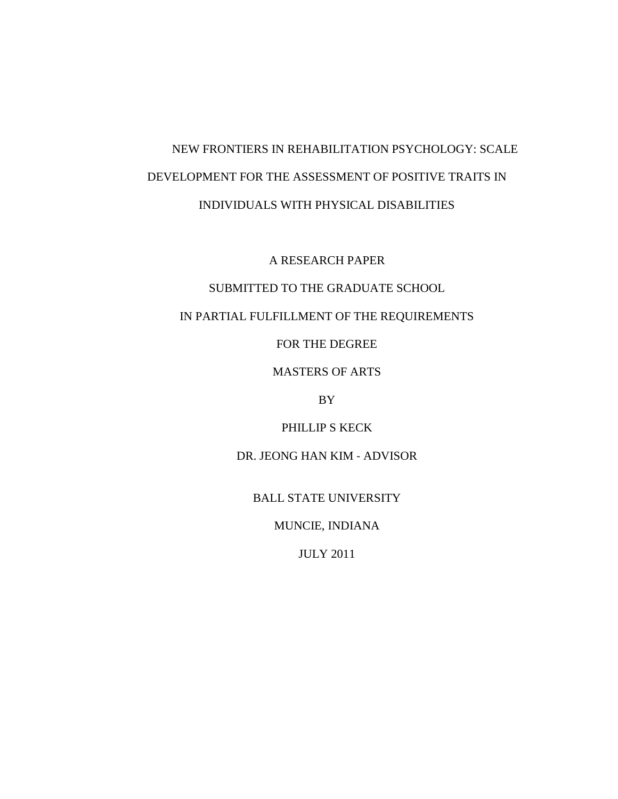# NEW FRONTIERS IN REHABILITATION PSYCHOLOGY: SCALE DEVELOPMENT FOR THE ASSESSMENT OF POSITIVE TRAITS IN INDIVIDUALS WITH PHYSICAL DISABILITIES

A RESEARCH PAPER

# SUBMITTED TO THE GRADUATE SCHOOL

# IN PARTIAL FULFILLMENT OF THE REQUIREMENTS

FOR THE DEGREE

MASTERS OF ARTS

BY

PHILLIP S KECK

DR. JEONG HAN KIM ‐ ADVISOR

BALL STATE UNIVERSITY

MUNCIE, INDIANA

JULY 2011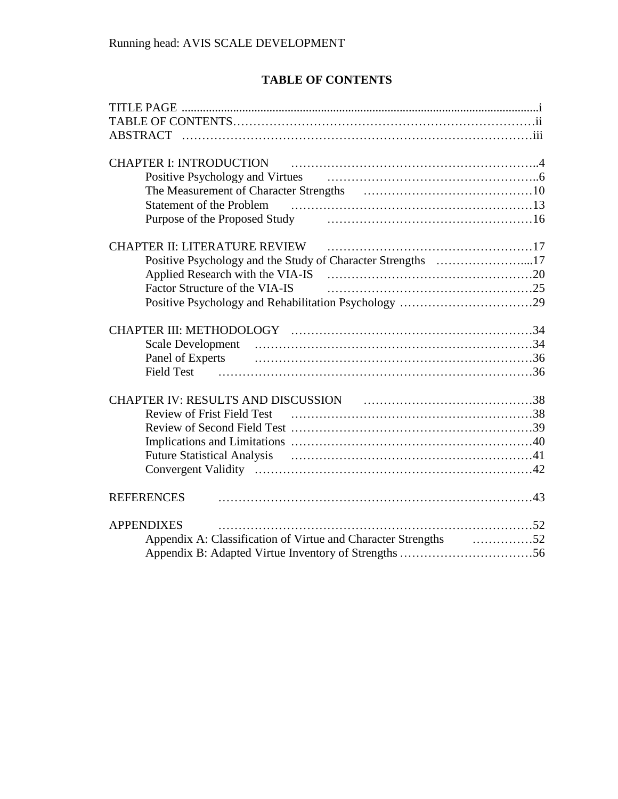# **TABLE OF CONTENTS**

| <b>ABSTRACT</b>                                                        |      |
|------------------------------------------------------------------------|------|
|                                                                        |      |
| <b>CHAPTER I: INTRODUCTION</b>                                         |      |
|                                                                        |      |
|                                                                        |      |
|                                                                        |      |
| Purpose of the Proposed Study The Communication and the Proposed Study |      |
| <b>CHAPTER II: LITERATURE REVIEW</b>                                   |      |
| Positive Psychology and the Study of Character Strengths 17            |      |
|                                                                        |      |
| Factor Structure of the VIA-IS                                         |      |
|                                                                        |      |
|                                                                        |      |
|                                                                        |      |
| Panel of Experts                                                       |      |
| <b>Field Test</b>                                                      |      |
|                                                                        |      |
|                                                                        |      |
| <b>Review of Frist Field Test</b>                                      |      |
|                                                                        |      |
|                                                                        |      |
|                                                                        |      |
|                                                                        |      |
| <b>REFERENCES</b>                                                      |      |
| <b>APPENDIXES</b>                                                      |      |
| Appendix A: Classification of Virtue and Character Strengths           | . 52 |
|                                                                        |      |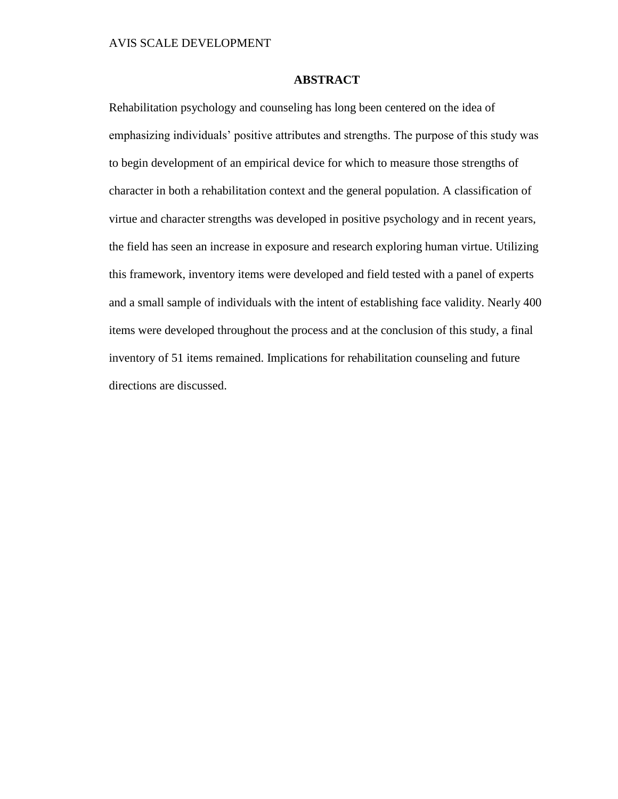# **ABSTRACT**

Rehabilitation psychology and counseling has long been centered on the idea of emphasizing individuals' positive attributes and strengths. The purpose of this study was to begin development of an empirical device for which to measure those strengths of character in both a rehabilitation context and the general population. A classification of virtue and character strengths was developed in positive psychology and in recent years, the field has seen an increase in exposure and research exploring human virtue. Utilizing this framework, inventory items were developed and field tested with a panel of experts and a small sample of individuals with the intent of establishing face validity. Nearly 400 items were developed throughout the process and at the conclusion of this study, a final inventory of 51 items remained. Implications for rehabilitation counseling and future directions are discussed.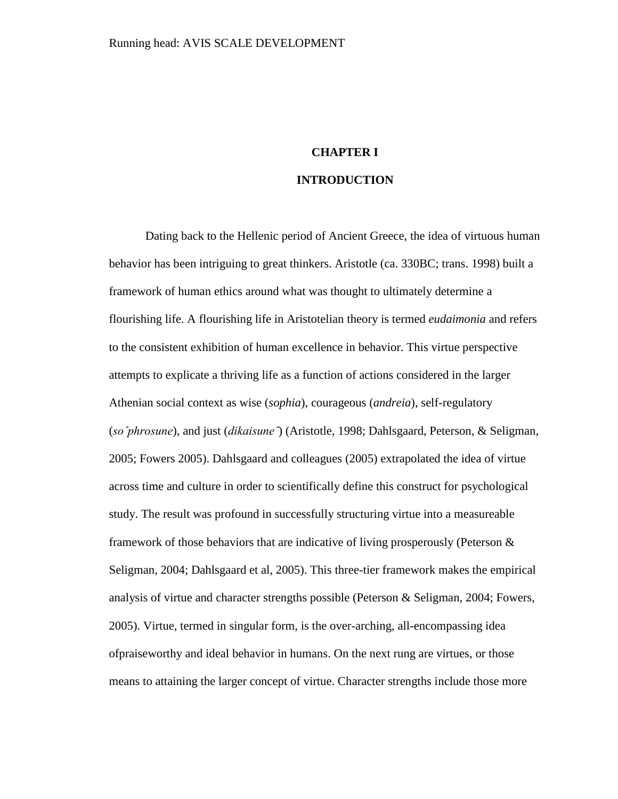# **CHAPTER I INTRODUCTION**

Dating back to the Hellenic period of Ancient Greece, the idea of virtuous human behavior has been intriguing to great thinkers. Aristotle (ca. 330BC; trans. 1998) built a framework of human ethics around what was thought to ultimately determine a flourishing life. A flourishing life in Aristotelian theory is termed *eudaimonia* and refers to the consistent exhibition of human excellence in behavior. This virtue perspective attempts to explicate a thriving life as a function of actions considered in the larger Athenian social context as wise (*sophia*), courageous (*andreia*), self-regulatory (*soˆphrosune*), and just (*dikaisuneˆ*) (Aristotle, 1998; Dahlsgaard, Peterson, & Seligman, 2005; Fowers 2005). Dahlsgaard and colleagues (2005) extrapolated the idea of virtue across time and culture in order to scientifically define this construct for psychological study. The result was profound in successfully structuring virtue into a measureable framework of those behaviors that are indicative of living prosperously (Peterson  $\&$ Seligman, 2004; Dahlsgaard et al, 2005). This three-tier framework makes the empirical analysis of virtue and character strengths possible (Peterson & Seligman, 2004; Fowers, 2005). Virtue, termed in singular form, is the over-arching, all-encompassing idea ofpraiseworthy and ideal behavior in humans. On the next rung are virtues, or those means to attaining the larger concept of virtue. Character strengths include those more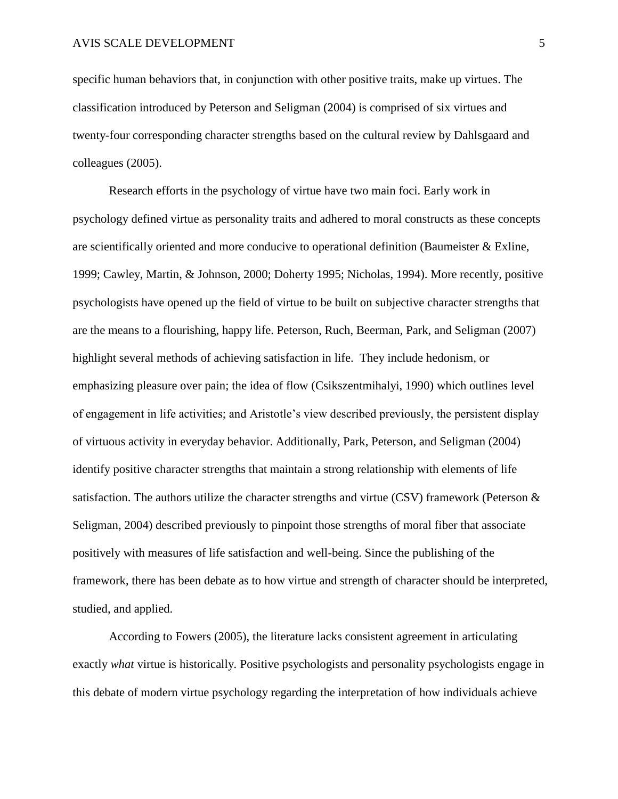specific human behaviors that, in conjunction with other positive traits, make up virtues. The classification introduced by Peterson and Seligman (2004) is comprised of six virtues and twenty-four corresponding character strengths based on the cultural review by Dahlsgaard and colleagues (2005).

Research efforts in the psychology of virtue have two main foci. Early work in psychology defined virtue as personality traits and adhered to moral constructs as these concepts are scientifically oriented and more conducive to operational definition (Baumeister & Exline, 1999; Cawley, Martin, & Johnson, 2000; Doherty 1995; Nicholas, 1994). More recently, positive psychologists have opened up the field of virtue to be built on subjective character strengths that are the means to a flourishing, happy life. Peterson, Ruch, Beerman, Park, and Seligman (2007) highlight several methods of achieving satisfaction in life. They include hedonism, or emphasizing pleasure over pain; the idea of flow (Csikszentmihalyi, 1990) which outlines level of engagement in life activities; and Aristotle's view described previously, the persistent display of virtuous activity in everyday behavior. Additionally, Park, Peterson, and Seligman (2004) identify positive character strengths that maintain a strong relationship with elements of life satisfaction. The authors utilize the character strengths and virtue (CSV) framework (Peterson & Seligman, 2004) described previously to pinpoint those strengths of moral fiber that associate positively with measures of life satisfaction and well-being. Since the publishing of the framework, there has been debate as to how virtue and strength of character should be interpreted, studied, and applied.

According to Fowers (2005), the literature lacks consistent agreement in articulating exactly *what* virtue is historically*.* Positive psychologists and personality psychologists engage in this debate of modern virtue psychology regarding the interpretation of how individuals achieve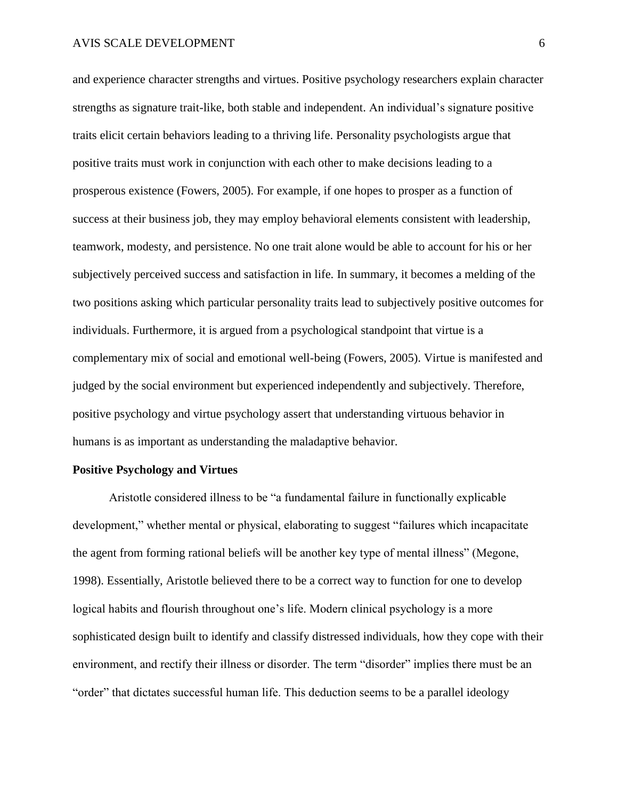and experience character strengths and virtues. Positive psychology researchers explain character strengths as signature trait-like, both stable and independent. An individual's signature positive traits elicit certain behaviors leading to a thriving life. Personality psychologists argue that positive traits must work in conjunction with each other to make decisions leading to a prosperous existence (Fowers, 2005). For example, if one hopes to prosper as a function of success at their business job, they may employ behavioral elements consistent with leadership, teamwork, modesty, and persistence. No one trait alone would be able to account for his or her subjectively perceived success and satisfaction in life. In summary, it becomes a melding of the two positions asking which particular personality traits lead to subjectively positive outcomes for individuals. Furthermore, it is argued from a psychological standpoint that virtue is a complementary mix of social and emotional well-being (Fowers, 2005). Virtue is manifested and judged by the social environment but experienced independently and subjectively. Therefore, positive psychology and virtue psychology assert that understanding virtuous behavior in humans is as important as understanding the maladaptive behavior.

#### **Positive Psychology and Virtues**

Aristotle considered illness to be "a fundamental failure in functionally explicable development," whether mental or physical, elaborating to suggest "failures which incapacitate the agent from forming rational beliefs will be another key type of mental illness" (Megone, 1998). Essentially, Aristotle believed there to be a correct way to function for one to develop logical habits and flourish throughout one's life. Modern clinical psychology is a more sophisticated design built to identify and classify distressed individuals, how they cope with their environment, and rectify their illness or disorder. The term "disorder" implies there must be an "order" that dictates successful human life. This deduction seems to be a parallel ideology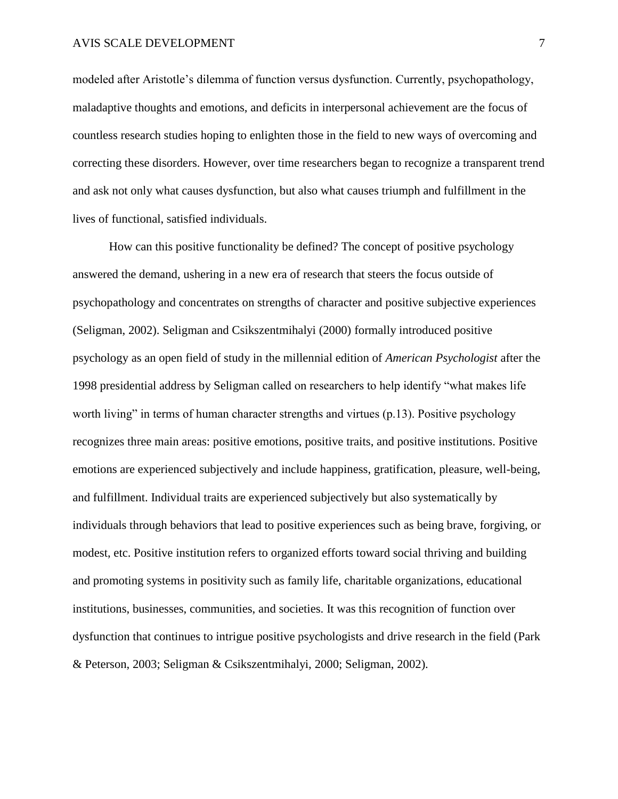## AVIS SCALE DEVELOPMENT 7

modeled after Aristotle's dilemma of function versus dysfunction. Currently, psychopathology, maladaptive thoughts and emotions, and deficits in interpersonal achievement are the focus of countless research studies hoping to enlighten those in the field to new ways of overcoming and correcting these disorders. However, over time researchers began to recognize a transparent trend and ask not only what causes dysfunction, but also what causes triumph and fulfillment in the lives of functional, satisfied individuals.

How can this positive functionality be defined? The concept of positive psychology answered the demand, ushering in a new era of research that steers the focus outside of psychopathology and concentrates on strengths of character and positive subjective experiences (Seligman, 2002). Seligman and Csikszentmihalyi (2000) formally introduced positive psychology as an open field of study in the millennial edition of *American Psychologist* after the 1998 presidential address by Seligman called on researchers to help identify "what makes life" worth living" in terms of human character strengths and virtues  $(p.13)$ . Positive psychology recognizes three main areas: positive emotions, positive traits, and positive institutions. Positive emotions are experienced subjectively and include happiness, gratification, pleasure, well-being, and fulfillment. Individual traits are experienced subjectively but also systematically by individuals through behaviors that lead to positive experiences such as being brave, forgiving, or modest, etc. Positive institution refers to organized efforts toward social thriving and building and promoting systems in positivity such as family life, charitable organizations, educational institutions, businesses, communities, and societies. It was this recognition of function over dysfunction that continues to intrigue positive psychologists and drive research in the field (Park & Peterson, 2003; Seligman & Csikszentmihalyi, 2000; Seligman, 2002).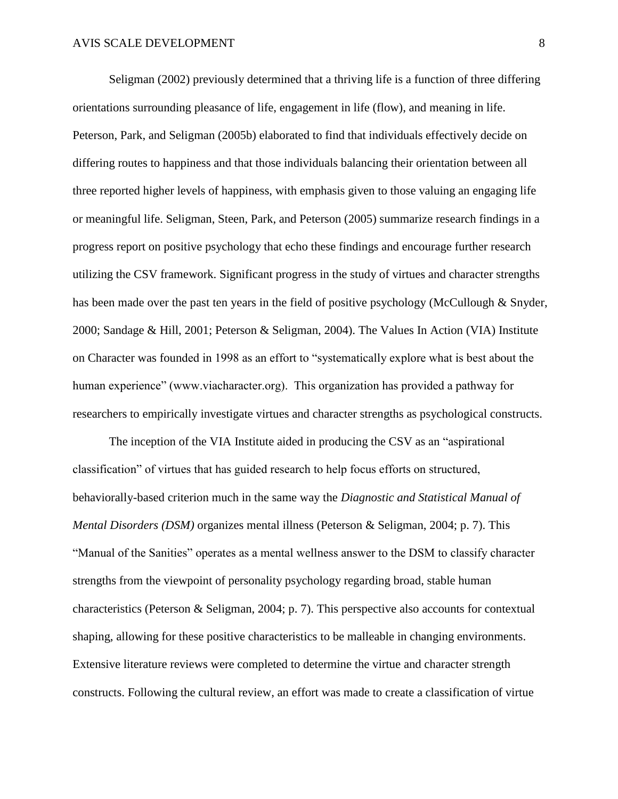Seligman (2002) previously determined that a thriving life is a function of three differing orientations surrounding pleasance of life, engagement in life (flow), and meaning in life. Peterson, Park, and Seligman (2005b) elaborated to find that individuals effectively decide on differing routes to happiness and that those individuals balancing their orientation between all three reported higher levels of happiness, with emphasis given to those valuing an engaging life or meaningful life. Seligman, Steen, Park, and Peterson (2005) summarize research findings in a progress report on positive psychology that echo these findings and encourage further research utilizing the CSV framework. Significant progress in the study of virtues and character strengths has been made over the past ten years in the field of positive psychology (McCullough & Snyder, 2000; Sandage & Hill, 2001; Peterson & Seligman, 2004). The Values In Action (VIA) Institute on Character was founded in 1998 as an effort to "systematically explore what is best about the human experience" (www.viacharacter.org). This organization has provided a pathway for researchers to empirically investigate virtues and character strengths as psychological constructs.

The inception of the VIA Institute aided in producing the CSV as an "aspirational" classification" of virtues that has guided research to help focus efforts on structured, behaviorally-based criterion much in the same way the *Diagnostic and Statistical Manual of Mental Disorders (DSM)* organizes mental illness (Peterson & Seligman, 2004; p. 7). This "Manual of the Sanities" operates as a mental wellness answer to the DSM to classify character strengths from the viewpoint of personality psychology regarding broad, stable human characteristics (Peterson & Seligman, 2004; p. 7). This perspective also accounts for contextual shaping, allowing for these positive characteristics to be malleable in changing environments. Extensive literature reviews were completed to determine the virtue and character strength constructs. Following the cultural review, an effort was made to create a classification of virtue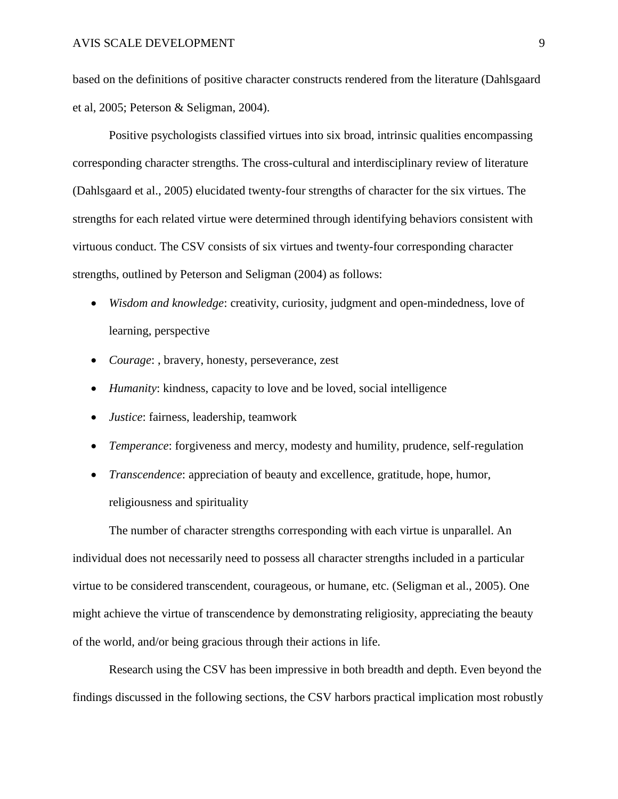based on the definitions of positive character constructs rendered from the literature (Dahlsgaard et al, 2005; Peterson & Seligman, 2004).

Positive psychologists classified virtues into six broad, intrinsic qualities encompassing corresponding character strengths. The cross-cultural and interdisciplinary review of literature (Dahlsgaard et al., 2005) elucidated twenty-four strengths of character for the six virtues. The strengths for each related virtue were determined through identifying behaviors consistent with virtuous conduct. The CSV consists of six virtues and twenty-four corresponding character strengths, outlined by Peterson and Seligman (2004) as follows:

- *Wisdom and knowledge*: creativity, curiosity, judgment and open-mindedness, love of learning, perspective
- *Courage*: , bravery, honesty, perseverance, zest
- *Humanity*: kindness, capacity to love and be loved, social intelligence
- *Justice*: fairness, leadership, teamwork
- *Temperance*: forgiveness and mercy, modesty and humility, prudence, self-regulation
- *Transcendence*: appreciation of beauty and excellence, gratitude, hope, humor, religiousness and spirituality

The number of character strengths corresponding with each virtue is unparallel. An individual does not necessarily need to possess all character strengths included in a particular virtue to be considered transcendent, courageous, or humane, etc. (Seligman et al., 2005). One might achieve the virtue of transcendence by demonstrating religiosity, appreciating the beauty of the world, and/or being gracious through their actions in life.

Research using the CSV has been impressive in both breadth and depth. Even beyond the findings discussed in the following sections, the CSV harbors practical implication most robustly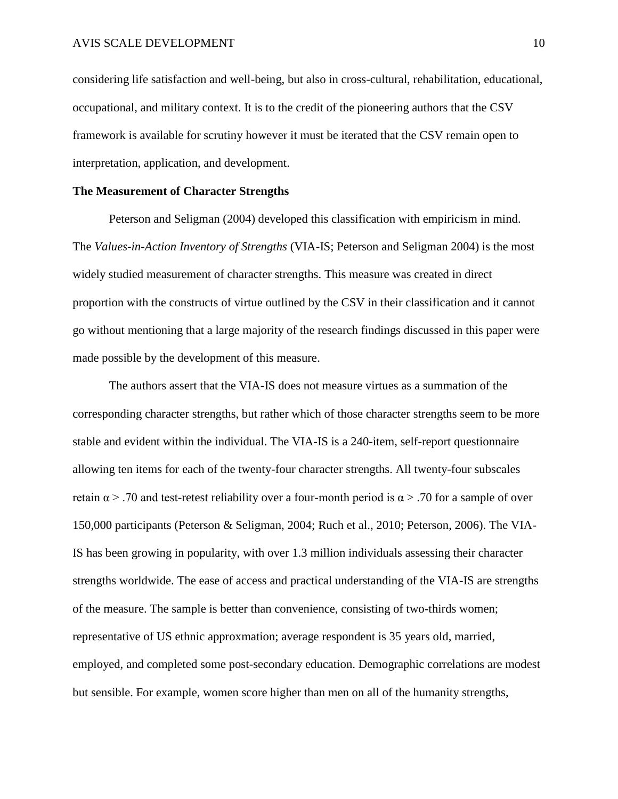considering life satisfaction and well-being, but also in cross-cultural, rehabilitation, educational, occupational, and military context. It is to the credit of the pioneering authors that the CSV framework is available for scrutiny however it must be iterated that the CSV remain open to interpretation, application, and development.

# **The Measurement of Character Strengths**

Peterson and Seligman (2004) developed this classification with empiricism in mind. The *Values-in-Action Inventory of Strengths* (VIA-IS; Peterson and Seligman 2004) is the most widely studied measurement of character strengths. This measure was created in direct proportion with the constructs of virtue outlined by the CSV in their classification and it cannot go without mentioning that a large majority of the research findings discussed in this paper were made possible by the development of this measure.

The authors assert that the VIA-IS does not measure virtues as a summation of the corresponding character strengths, but rather which of those character strengths seem to be more stable and evident within the individual. The VIA-IS is a 240-item, self-report questionnaire allowing ten items for each of the twenty-four character strengths. All twenty-four subscales retain  $\alpha$  > .70 and test-retest reliability over a four-month period is  $\alpha$  > .70 for a sample of over 150,000 participants (Peterson & Seligman, 2004; Ruch et al., 2010; Peterson, 2006). The VIA-IS has been growing in popularity, with over 1.3 million individuals assessing their character strengths worldwide. The ease of access and practical understanding of the VIA-IS are strengths of the measure. The sample is better than convenience, consisting of two-thirds women; representative of US ethnic approxmation; average respondent is 35 years old, married, employed, and completed some post-secondary education. Demographic correlations are modest but sensible. For example, women score higher than men on all of the humanity strengths,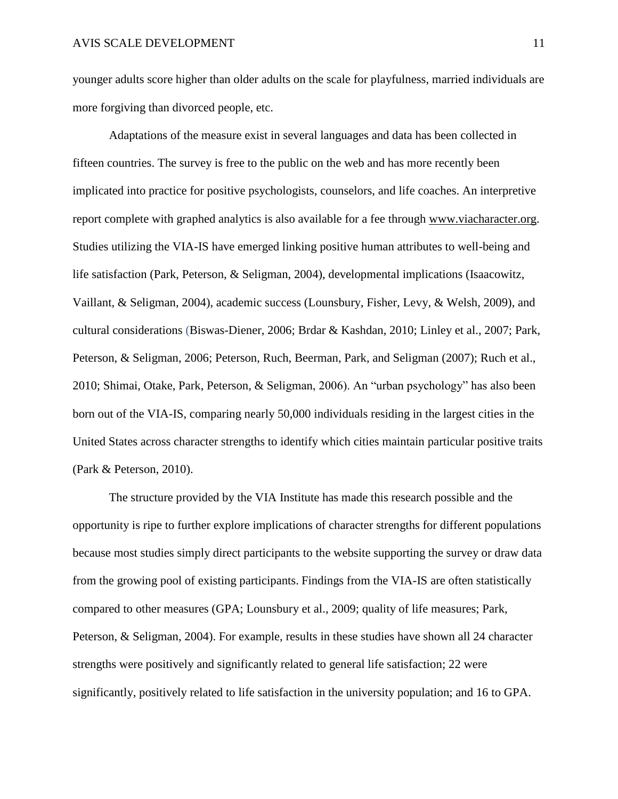younger adults score higher than older adults on the scale for playfulness, married individuals are more forgiving than divorced people, etc.

Adaptations of the measure exist in several languages and data has been collected in fifteen countries. The survey is free to the public on the web and has more recently been implicated into practice for positive psychologists, counselors, and life coaches. An interpretive report complete with graphed analytics is also available for a fee through [www.viacharacter.org.](http://www.viacharacter.org/) Studies utilizing the VIA-IS have emerged linking positive human attributes to well-being and life satisfaction (Park, Peterson, & Seligman, 2004), developmental implications (Isaacowitz, Vaillant, & Seligman, 2004), academic success (Lounsbury, Fisher, Levy, & Welsh, 2009), and cultural considerations (Biswas-Diener, 2006; Brdar & Kashdan, 2010; Linley et al., 2007; Park, Peterson, & Seligman, 2006; Peterson, Ruch, Beerman, Park, and Seligman (2007); Ruch et al., 2010; Shimai, Otake, Park, Peterson, & Seligman, 2006). An "urban psychology" has also been born out of the VIA-IS, comparing nearly 50,000 individuals residing in the largest cities in the United States across character strengths to identify which cities maintain particular positive traits (Park & Peterson, 2010).

The structure provided by the VIA Institute has made this research possible and the opportunity is ripe to further explore implications of character strengths for different populations because most studies simply direct participants to the website supporting the survey or draw data from the growing pool of existing participants. Findings from the VIA-IS are often statistically compared to other measures (GPA; Lounsbury et al., 2009; quality of life measures; Park, Peterson, & Seligman, 2004). For example, results in these studies have shown all 24 character strengths were positively and significantly related to general life satisfaction; 22 were significantly, positively related to life satisfaction in the university population; and 16 to GPA.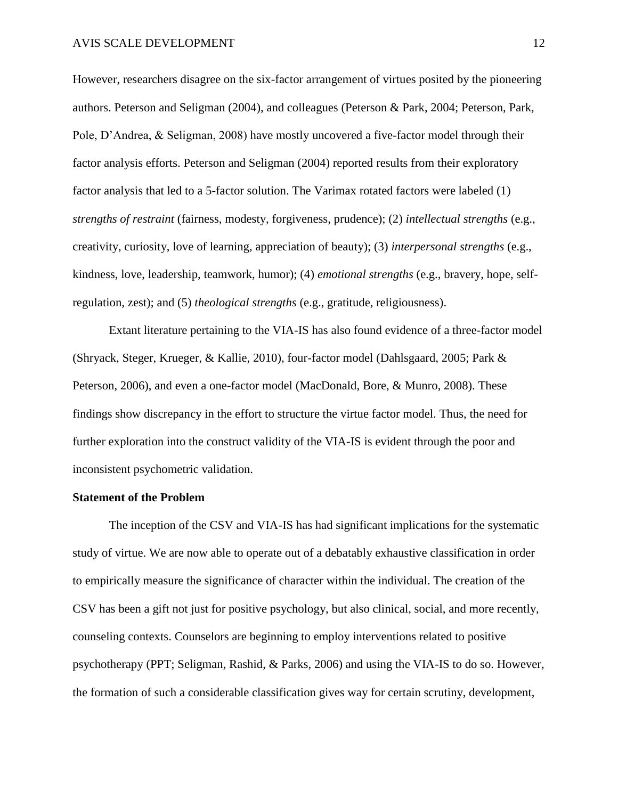However, researchers disagree on the six-factor arrangement of virtues posited by the pioneering authors. Peterson and Seligman (2004), and colleagues (Peterson & Park, 2004; Peterson, Park, Pole, D'Andrea, & Seligman, 2008) have mostly uncovered a five-factor model through their factor analysis efforts. Peterson and Seligman (2004) reported results from their exploratory factor analysis that led to a 5-factor solution. The Varimax rotated factors were labeled (1) *strengths of restraint* (fairness, modesty, forgiveness, prudence); (2) *intellectual strengths* (e.g., creativity, curiosity, love of learning, appreciation of beauty); (3) *interpersonal strengths* (e.g., kindness, love, leadership, teamwork, humor); (4) *emotional strengths* (e.g., bravery, hope, selfregulation, zest); and (5) *theological strengths* (e.g., gratitude, religiousness).

Extant literature pertaining to the VIA-IS has also found evidence of a three-factor model (Shryack, Steger, Krueger, & Kallie, 2010), four-factor model (Dahlsgaard, 2005; Park & Peterson, 2006), and even a one-factor model (MacDonald, Bore, & Munro, 2008). These findings show discrepancy in the effort to structure the virtue factor model. Thus, the need for further exploration into the construct validity of the VIA-IS is evident through the poor and inconsistent psychometric validation.

## **Statement of the Problem**

The inception of the CSV and VIA-IS has had significant implications for the systematic study of virtue. We are now able to operate out of a debatably exhaustive classification in order to empirically measure the significance of character within the individual. The creation of the CSV has been a gift not just for positive psychology, but also clinical, social, and more recently, counseling contexts. Counselors are beginning to employ interventions related to positive psychotherapy (PPT; Seligman, Rashid, & Parks, 2006) and using the VIA-IS to do so. However, the formation of such a considerable classification gives way for certain scrutiny, development,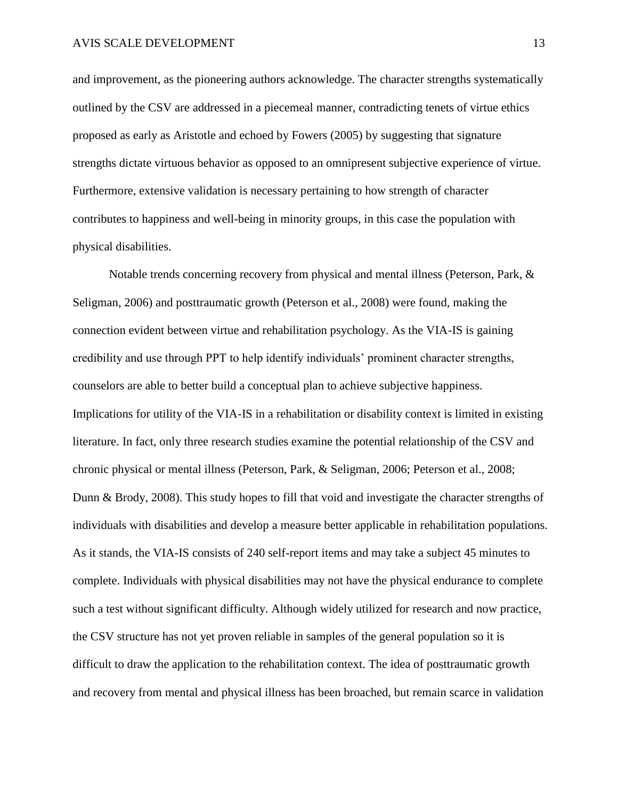and improvement, as the pioneering authors acknowledge. The character strengths systematically outlined by the CSV are addressed in a piecemeal manner, contradicting tenets of virtue ethics proposed as early as Aristotle and echoed by Fowers (2005) by suggesting that signature strengths dictate virtuous behavior as opposed to an omnipresent subjective experience of virtue. Furthermore, extensive validation is necessary pertaining to how strength of character contributes to happiness and well-being in minority groups, in this case the population with physical disabilities.

Notable trends concerning recovery from physical and mental illness (Peterson, Park, & Seligman, 2006) and posttraumatic growth (Peterson et al., 2008) were found, making the connection evident between virtue and rehabilitation psychology. As the VIA-IS is gaining credibility and use through PPT to help identify individuals' prominent character strengths, counselors are able to better build a conceptual plan to achieve subjective happiness. Implications for utility of the VIA-IS in a rehabilitation or disability context is limited in existing literature. In fact, only three research studies examine the potential relationship of the CSV and chronic physical or mental illness (Peterson, Park, & Seligman, 2006; Peterson et al., 2008; Dunn & Brody, 2008). This study hopes to fill that void and investigate the character strengths of individuals with disabilities and develop a measure better applicable in rehabilitation populations. As it stands, the VIA-IS consists of 240 self-report items and may take a subject 45 minutes to complete. Individuals with physical disabilities may not have the physical endurance to complete such a test without significant difficulty. Although widely utilized for research and now practice, the CSV structure has not yet proven reliable in samples of the general population so it is difficult to draw the application to the rehabilitation context. The idea of posttraumatic growth and recovery from mental and physical illness has been broached, but remain scarce in validation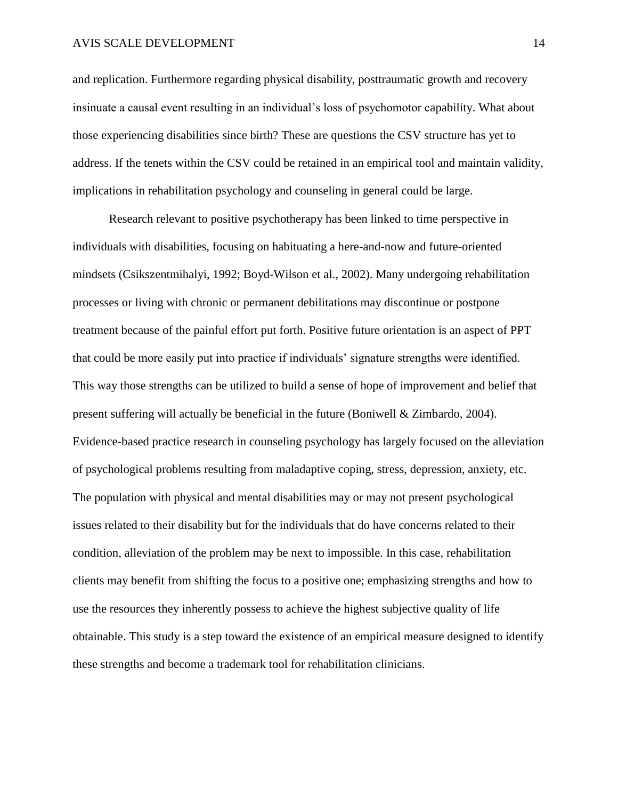#### AVIS SCALE DEVELOPMENT 14

and replication. Furthermore regarding physical disability, posttraumatic growth and recovery insinuate a causal event resulting in an individual's loss of psychomotor capability. What about those experiencing disabilities since birth? These are questions the CSV structure has yet to address. If the tenets within the CSV could be retained in an empirical tool and maintain validity, implications in rehabilitation psychology and counseling in general could be large.

Research relevant to positive psychotherapy has been linked to time perspective in individuals with disabilities, focusing on habituating a here-and-now and future-oriented mindsets (Csikszentmihalyi, 1992; Boyd-Wilson et al., 2002). Many undergoing rehabilitation processes or living with chronic or permanent debilitations may discontinue or postpone treatment because of the painful effort put forth. Positive future orientation is an aspect of PPT that could be more easily put into practice if individuals' signature strengths were identified. This way those strengths can be utilized to build a sense of hope of improvement and belief that present suffering will actually be beneficial in the future (Boniwell & Zimbardo, 2004). Evidence-based practice research in counseling psychology has largely focused on the alleviation of psychological problems resulting from maladaptive coping, stress, depression, anxiety, etc. The population with physical and mental disabilities may or may not present psychological issues related to their disability but for the individuals that do have concerns related to their condition, alleviation of the problem may be next to impossible. In this case, rehabilitation clients may benefit from shifting the focus to a positive one; emphasizing strengths and how to use the resources they inherently possess to achieve the highest subjective quality of life obtainable. This study is a step toward the existence of an empirical measure designed to identify these strengths and become a trademark tool for rehabilitation clinicians.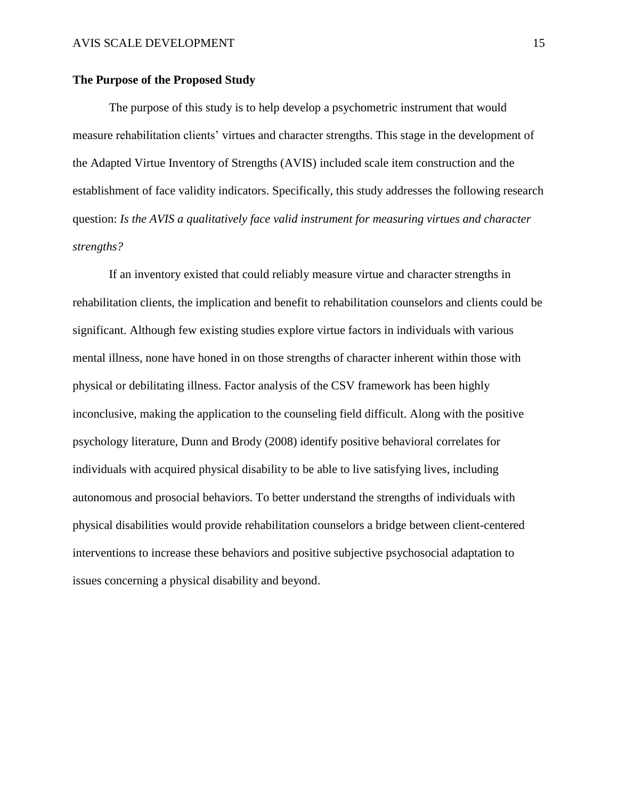# **The Purpose of the Proposed Study**

The purpose of this study is to help develop a psychometric instrument that would measure rehabilitation clients' virtues and character strengths. This stage in the development of the Adapted Virtue Inventory of Strengths (AVIS) included scale item construction and the establishment of face validity indicators. Specifically, this study addresses the following research question: *Is the AVIS a qualitatively face valid instrument for measuring virtues and character strengths?*

If an inventory existed that could reliably measure virtue and character strengths in rehabilitation clients, the implication and benefit to rehabilitation counselors and clients could be significant. Although few existing studies explore virtue factors in individuals with various mental illness, none have honed in on those strengths of character inherent within those with physical or debilitating illness. Factor analysis of the CSV framework has been highly inconclusive, making the application to the counseling field difficult. Along with the positive psychology literature, Dunn and Brody (2008) identify positive behavioral correlates for individuals with acquired physical disability to be able to live satisfying lives, including autonomous and prosocial behaviors. To better understand the strengths of individuals with physical disabilities would provide rehabilitation counselors a bridge between client-centered interventions to increase these behaviors and positive subjective psychosocial adaptation to issues concerning a physical disability and beyond.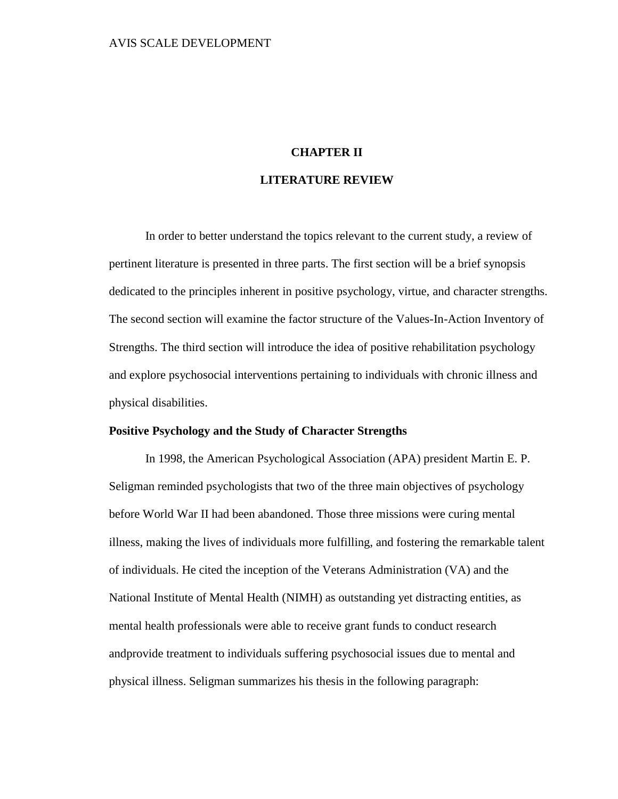# **CHAPTER II**

# **LITERATURE REVIEW**

In order to better understand the topics relevant to the current study, a review of pertinent literature is presented in three parts. The first section will be a brief synopsis dedicated to the principles inherent in positive psychology, virtue, and character strengths. The second section will examine the factor structure of the Values-In-Action Inventory of Strengths. The third section will introduce the idea of positive rehabilitation psychology and explore psychosocial interventions pertaining to individuals with chronic illness and physical disabilities.

# **Positive Psychology and the Study of Character Strengths**

In 1998, the American Psychological Association (APA) president Martin E. P. Seligman reminded psychologists that two of the three main objectives of psychology before World War II had been abandoned. Those three missions were curing mental illness, making the lives of individuals more fulfilling, and fostering the remarkable talent of individuals. He cited the inception of the Veterans Administration (VA) and the National Institute of Mental Health (NIMH) as outstanding yet distracting entities, as mental health professionals were able to receive grant funds to conduct research andprovide treatment to individuals suffering psychosocial issues due to mental and physical illness. Seligman summarizes his thesis in the following paragraph: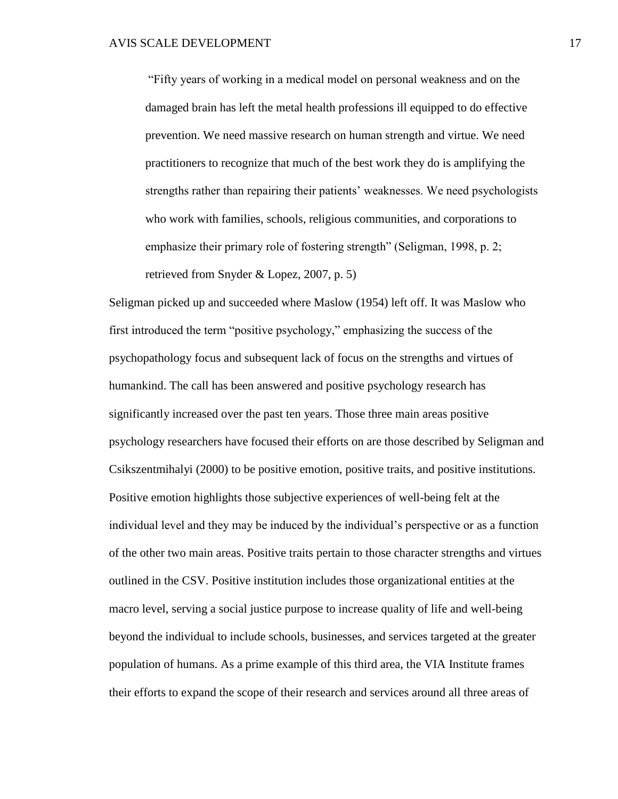―Fifty years of working in a medical model on personal weakness and on the damaged brain has left the metal health professions ill equipped to do effective prevention. We need massive research on human strength and virtue. We need practitioners to recognize that much of the best work they do is amplifying the strengths rather than repairing their patients' weaknesses. We need psychologists who work with families, schools, religious communities, and corporations to emphasize their primary role of fostering strength" (Seligman, 1998, p. 2; retrieved from Snyder & Lopez, 2007, p. 5)

Seligman picked up and succeeded where Maslow (1954) left off. It was Maslow who first introduced the term "positive psychology," emphasizing the success of the psychopathology focus and subsequent lack of focus on the strengths and virtues of humankind. The call has been answered and positive psychology research has significantly increased over the past ten years. Those three main areas positive psychology researchers have focused their efforts on are those described by Seligman and Csikszentmihalyi (2000) to be positive emotion, positive traits, and positive institutions. Positive emotion highlights those subjective experiences of well-being felt at the individual level and they may be induced by the individual's perspective or as a function of the other two main areas. Positive traits pertain to those character strengths and virtues outlined in the CSV. Positive institution includes those organizational entities at the macro level, serving a social justice purpose to increase quality of life and well-being beyond the individual to include schools, businesses, and services targeted at the greater population of humans. As a prime example of this third area, the VIA Institute frames their efforts to expand the scope of their research and services around all three areas of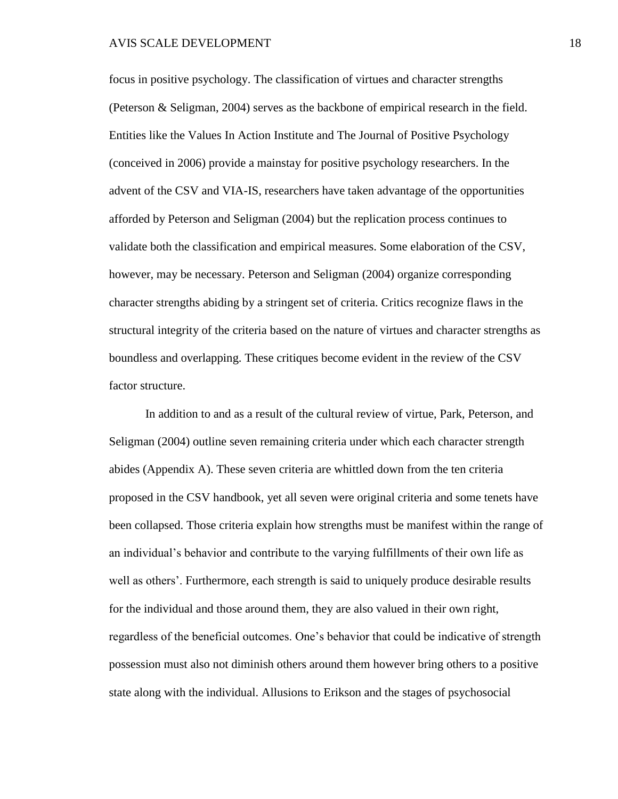focus in positive psychology. The classification of virtues and character strengths (Peterson & Seligman, 2004) serves as the backbone of empirical research in the field. Entities like the Values In Action Institute and The Journal of Positive Psychology (conceived in 2006) provide a mainstay for positive psychology researchers. In the advent of the CSV and VIA-IS, researchers have taken advantage of the opportunities afforded by Peterson and Seligman (2004) but the replication process continues to validate both the classification and empirical measures. Some elaboration of the CSV, however, may be necessary. Peterson and Seligman (2004) organize corresponding character strengths abiding by a stringent set of criteria. Critics recognize flaws in the structural integrity of the criteria based on the nature of virtues and character strengths as boundless and overlapping. These critiques become evident in the review of the CSV factor structure.

In addition to and as a result of the cultural review of virtue, Park, Peterson, and Seligman (2004) outline seven remaining criteria under which each character strength abides (Appendix A). These seven criteria are whittled down from the ten criteria proposed in the CSV handbook, yet all seven were original criteria and some tenets have been collapsed. Those criteria explain how strengths must be manifest within the range of an individual's behavior and contribute to the varying fulfillments of their own life as well as others'. Furthermore, each strength is said to uniquely produce desirable results for the individual and those around them, they are also valued in their own right, regardless of the beneficial outcomes. One's behavior that could be indicative of strength possession must also not diminish others around them however bring others to a positive state along with the individual. Allusions to Erikson and the stages of psychosocial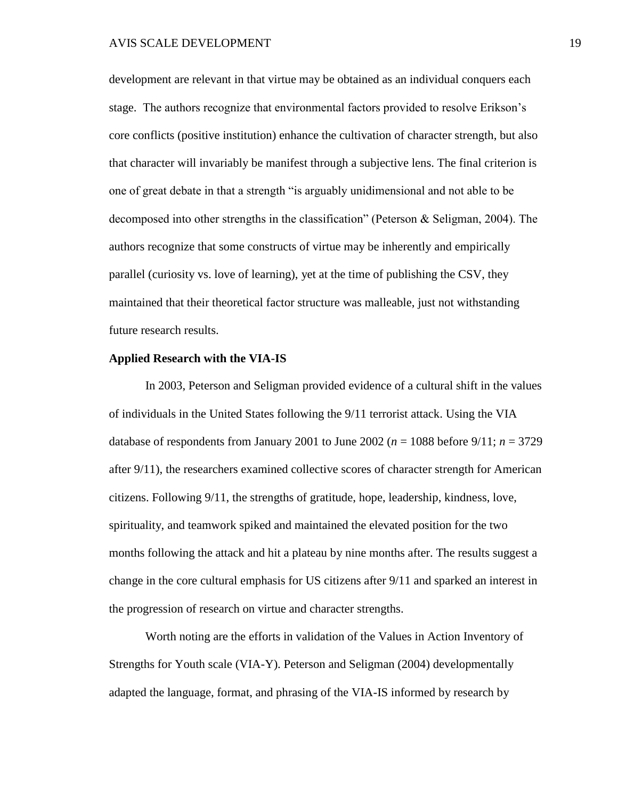development are relevant in that virtue may be obtained as an individual conquers each stage. The authors recognize that environmental factors provided to resolve Erikson's core conflicts (positive institution) enhance the cultivation of character strength, but also that character will invariably be manifest through a subjective lens. The final criterion is one of great debate in that a strength "is arguably unidimensional and not able to be decomposed into other strengths in the classification" (Peterson  $\&$  Seligman, 2004). The authors recognize that some constructs of virtue may be inherently and empirically parallel (curiosity vs. love of learning), yet at the time of publishing the CSV, they maintained that their theoretical factor structure was malleable, just not withstanding future research results.

## **Applied Research with the VIA-IS**

In 2003, Peterson and Seligman provided evidence of a cultural shift in the values of individuals in the United States following the 9/11 terrorist attack. Using the VIA database of respondents from January 2001 to June 2002 ( $n = 1088$  before 9/11;  $n = 3729$ ) after 9/11), the researchers examined collective scores of character strength for American citizens. Following 9/11, the strengths of gratitude, hope, leadership, kindness, love, spirituality, and teamwork spiked and maintained the elevated position for the two months following the attack and hit a plateau by nine months after. The results suggest a change in the core cultural emphasis for US citizens after 9/11 and sparked an interest in the progression of research on virtue and character strengths.

Worth noting are the efforts in validation of the Values in Action Inventory of Strengths for Youth scale (VIA-Y). Peterson and Seligman (2004) developmentally adapted the language, format, and phrasing of the VIA-IS informed by research by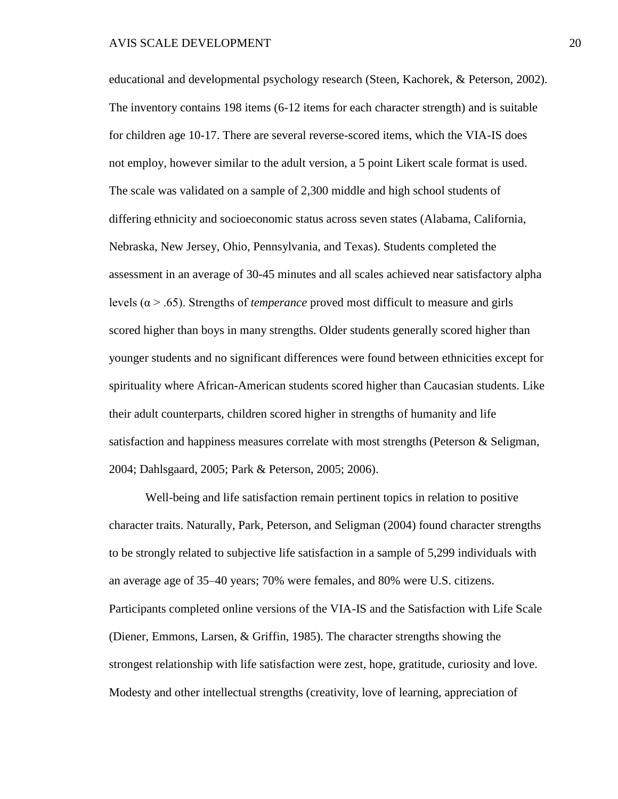educational and developmental psychology research (Steen, Kachorek, & Peterson, 2002). The inventory contains 198 items (6-12 items for each character strength) and is suitable for children age 10-17. There are several reverse-scored items, which the VIA-IS does not employ, however similar to the adult version, a 5 point Likert scale format is used. The scale was validated on a sample of 2,300 middle and high school students of differing ethnicity and socioeconomic status across seven states (Alabama, California, Nebraska, New Jersey, Ohio, Pennsylvania, and Texas). Students completed the assessment in an average of 30-45 minutes and all scales achieved near satisfactory alpha levels (α > .65). Strengths of *temperance* proved most difficult to measure and girls scored higher than boys in many strengths. Older students generally scored higher than younger students and no significant differences were found between ethnicities except for spirituality where African-American students scored higher than Caucasian students. Like their adult counterparts, children scored higher in strengths of humanity and life satisfaction and happiness measures correlate with most strengths (Peterson & Seligman, 2004; Dahlsgaard, 2005; Park & Peterson, 2005; 2006).

Well-being and life satisfaction remain pertinent topics in relation to positive character traits. Naturally, Park, Peterson, and Seligman (2004) found character strengths to be strongly related to subjective life satisfaction in a sample of 5,299 individuals with an average age of 35–40 years; 70% were females, and 80% were U.S. citizens. Participants completed online versions of the VIA-IS and the Satisfaction with Life Scale (Diener, Emmons, Larsen, & Griffin, 1985). The character strengths showing the strongest relationship with life satisfaction were zest, hope, gratitude, curiosity and love. Modesty and other intellectual strengths (creativity, love of learning, appreciation of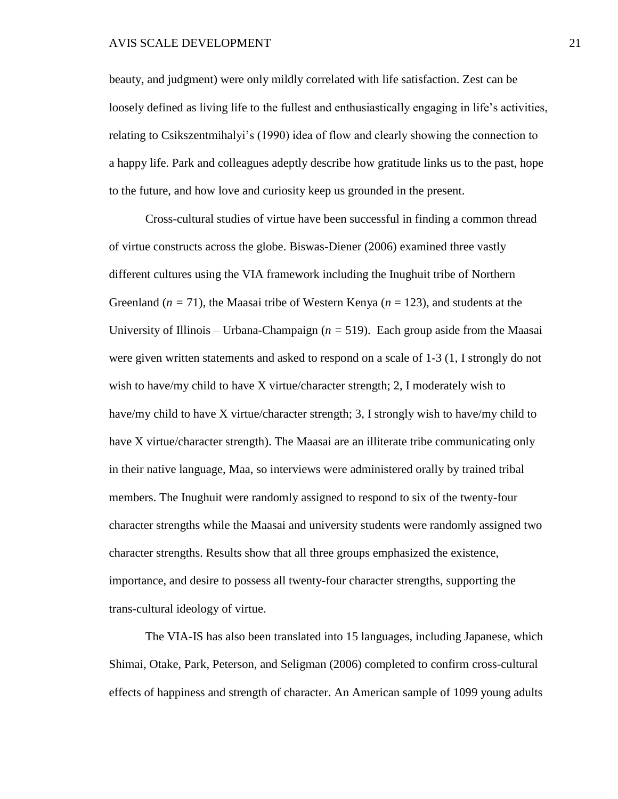#### AVIS SCALE DEVELOPMENT 21

beauty, and judgment) were only mildly correlated with life satisfaction. Zest can be loosely defined as living life to the fullest and enthusiastically engaging in life's activities, relating to Csikszentmihalyi's (1990) idea of flow and clearly showing the connection to a happy life. Park and colleagues adeptly describe how gratitude links us to the past, hope to the future, and how love and curiosity keep us grounded in the present.

Cross-cultural studies of virtue have been successful in finding a common thread of virtue constructs across the globe. Biswas-Diener (2006) examined three vastly different cultures using the VIA framework including the Inughuit tribe of Northern Greenland (*n =* 71), the Maasai tribe of Western Kenya (*n* = 123), and students at the University of Illinois – Urbana-Champaign (*n =* 519). Each group aside from the Maasai were given written statements and asked to respond on a scale of 1-3 (1, I strongly do not wish to have/my child to have X virtue/character strength; 2, I moderately wish to have/my child to have X virtue/character strength; 3, I strongly wish to have/my child to have X virtue/character strength). The Maasai are an illiterate tribe communicating only in their native language, Maa, so interviews were administered orally by trained tribal members. The Inughuit were randomly assigned to respond to six of the twenty-four character strengths while the Maasai and university students were randomly assigned two character strengths. Results show that all three groups emphasized the existence, importance, and desire to possess all twenty-four character strengths, supporting the trans-cultural ideology of virtue.

The VIA-IS has also been translated into 15 languages, including Japanese, which Shimai, Otake, Park, Peterson, and Seligman (2006) completed to confirm cross-cultural effects of happiness and strength of character. An American sample of 1099 young adults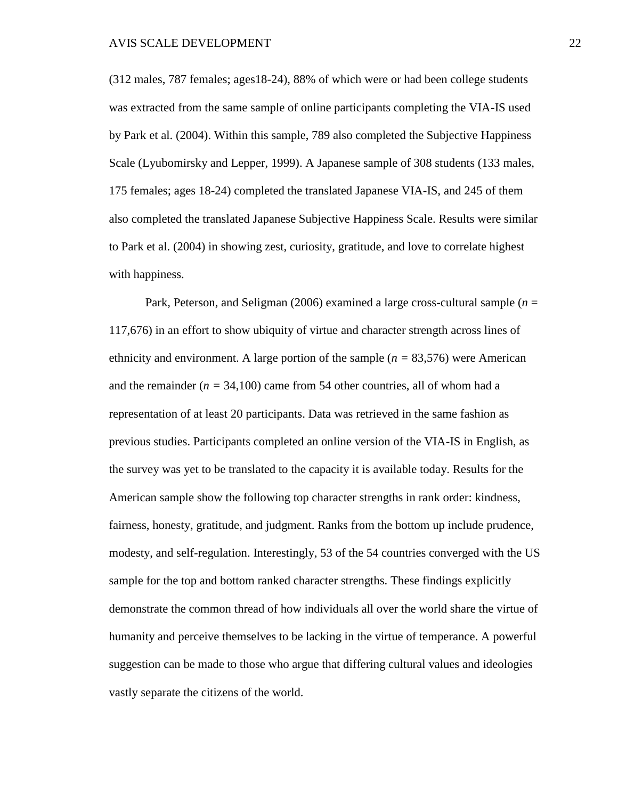(312 males, 787 females; ages18-24), 88% of which were or had been college students was extracted from the same sample of online participants completing the VIA-IS used by Park et al. (2004). Within this sample, 789 also completed the Subjective Happiness Scale (Lyubomirsky and Lepper, 1999). A Japanese sample of 308 students (133 males, 175 females; ages 18-24) completed the translated Japanese VIA-IS, and 245 of them also completed the translated Japanese Subjective Happiness Scale. Results were similar to Park et al. (2004) in showing zest, curiosity, gratitude, and love to correlate highest with happiness.

Park, Peterson, and Seligman (2006) examined a large cross-cultural sample (*n* = 117,676) in an effort to show ubiquity of virtue and character strength across lines of ethnicity and environment. A large portion of the sample (*n =* 83,576) were American and the remainder  $(n = 34,100)$  came from 54 other countries, all of whom had a representation of at least 20 participants. Data was retrieved in the same fashion as previous studies. Participants completed an online version of the VIA-IS in English, as the survey was yet to be translated to the capacity it is available today. Results for the American sample show the following top character strengths in rank order: kindness, fairness, honesty, gratitude, and judgment. Ranks from the bottom up include prudence, modesty, and self-regulation. Interestingly, 53 of the 54 countries converged with the US sample for the top and bottom ranked character strengths. These findings explicitly demonstrate the common thread of how individuals all over the world share the virtue of humanity and perceive themselves to be lacking in the virtue of temperance. A powerful suggestion can be made to those who argue that differing cultural values and ideologies vastly separate the citizens of the world.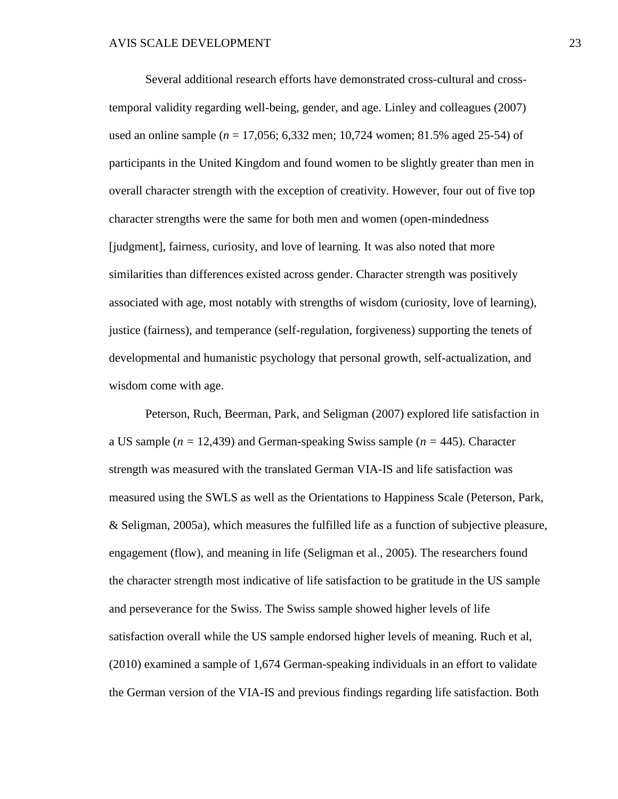Several additional research efforts have demonstrated cross-cultural and crosstemporal validity regarding well-being, gender, and age. Linley and colleagues (2007) used an online sample (*n* = 17,056; 6,332 men; 10,724 women; 81.5% aged 25-54) of participants in the United Kingdom and found women to be slightly greater than men in overall character strength with the exception of creativity. However, four out of five top character strengths were the same for both men and women (open-mindedness [judgment], fairness, curiosity, and love of learning. It was also noted that more similarities than differences existed across gender. Character strength was positively associated with age, most notably with strengths of wisdom (curiosity, love of learning), justice (fairness), and temperance (self-regulation, forgiveness) supporting the tenets of developmental and humanistic psychology that personal growth, self-actualization, and wisdom come with age.

Peterson, Ruch, Beerman, Park, and Seligman (2007) explored life satisfaction in a US sample (*n =* 12,439) and German-speaking Swiss sample (*n =* 445). Character strength was measured with the translated German VIA-IS and life satisfaction was measured using the SWLS as well as the Orientations to Happiness Scale (Peterson, Park, & Seligman, 2005a), which measures the fulfilled life as a function of subjective pleasure, engagement (flow), and meaning in life (Seligman et al., 2005). The researchers found the character strength most indicative of life satisfaction to be gratitude in the US sample and perseverance for the Swiss. The Swiss sample showed higher levels of life satisfaction overall while the US sample endorsed higher levels of meaning. Ruch et al, (2010) examined a sample of 1,674 German-speaking individuals in an effort to validate the German version of the VIA-IS and previous findings regarding life satisfaction. Both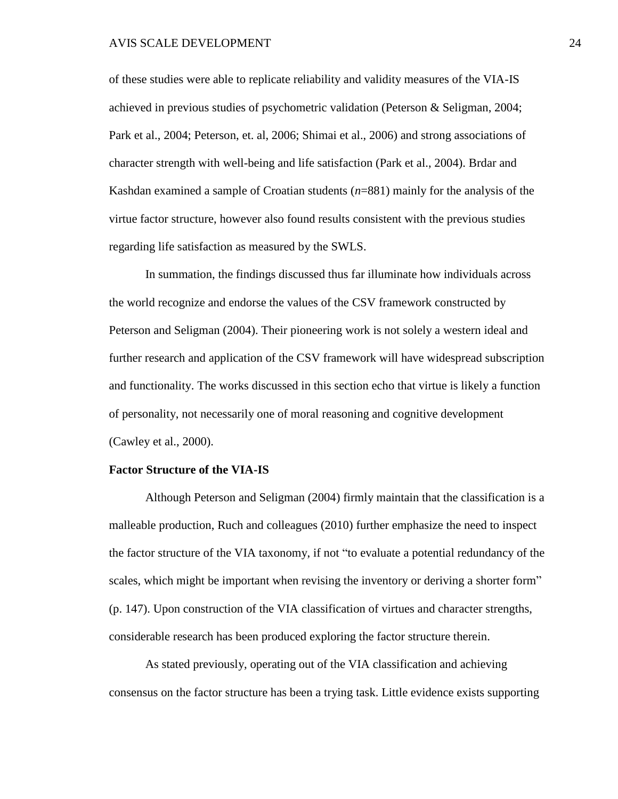of these studies were able to replicate reliability and validity measures of the VIA-IS achieved in previous studies of psychometric validation (Peterson & Seligman, 2004; Park et al., 2004; Peterson, et. al, 2006; Shimai et al., 2006) and strong associations of character strength with well-being and life satisfaction (Park et al., 2004). Brdar and Kashdan examined a sample of Croatian students (*n*=881) mainly for the analysis of the virtue factor structure, however also found results consistent with the previous studies regarding life satisfaction as measured by the SWLS.

In summation, the findings discussed thus far illuminate how individuals across the world recognize and endorse the values of the CSV framework constructed by Peterson and Seligman (2004). Their pioneering work is not solely a western ideal and further research and application of the CSV framework will have widespread subscription and functionality. The works discussed in this section echo that virtue is likely a function of personality, not necessarily one of moral reasoning and cognitive development (Cawley et al., 2000).

# **Factor Structure of the VIA-IS**

Although Peterson and Seligman (2004) firmly maintain that the classification is a malleable production, Ruch and colleagues (2010) further emphasize the need to inspect the factor structure of the VIA taxonomy, if not "to evaluate a potential redundancy of the scales, which might be important when revising the inventory or deriving a shorter form" (p. 147). Upon construction of the VIA classification of virtues and character strengths, considerable research has been produced exploring the factor structure therein.

As stated previously, operating out of the VIA classification and achieving consensus on the factor structure has been a trying task. Little evidence exists supporting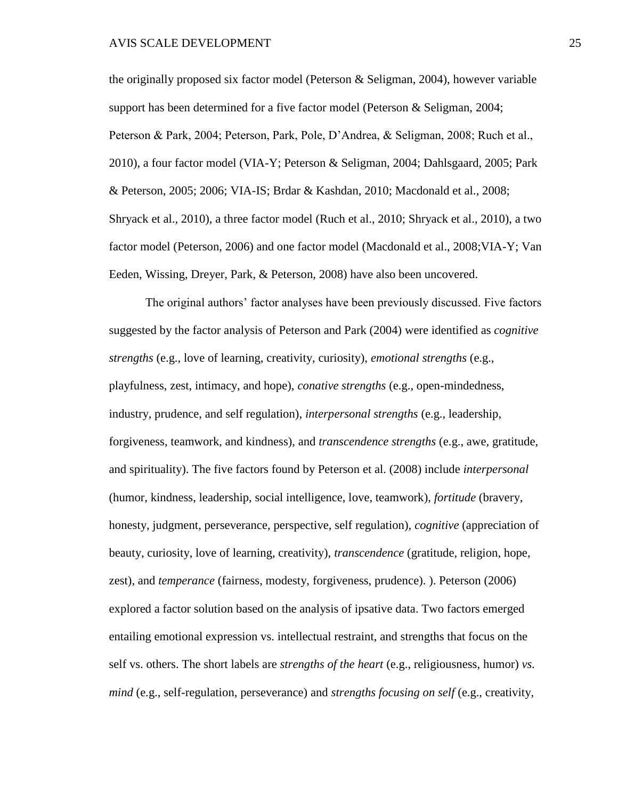the originally proposed six factor model (Peterson & Seligman, 2004), however variable support has been determined for a five factor model (Peterson & Seligman, 2004; Peterson & Park, 2004; Peterson, Park, Pole, D'Andrea, & Seligman, 2008; Ruch et al., 2010), a four factor model (VIA-Y; Peterson & Seligman, 2004; Dahlsgaard, 2005; Park & Peterson, 2005; 2006; VIA-IS; Brdar & Kashdan, 2010; Macdonald et al., 2008; Shryack et al., 2010), a three factor model (Ruch et al., 2010; Shryack et al., 2010), a two factor model (Peterson, 2006) and one factor model (Macdonald et al., 2008;VIA-Y; Van Eeden, Wissing, Dreyer, Park, & Peterson, 2008) have also been uncovered.

The original authors' factor analyses have been previously discussed. Five factors suggested by the factor analysis of Peterson and Park (2004) were identified as *cognitive strengths* (e.g., love of learning, creativity, curiosity), *emotional strengths* (e.g., playfulness, zest, intimacy, and hope), *conative strengths* (e.g., open-mindedness, industry, prudence, and self regulation), *interpersonal strengths* (e.g., leadership, forgiveness, teamwork, and kindness), and *transcendence strengths* (e.g., awe, gratitude, and spirituality). The five factors found by Peterson et al. (2008) include *interpersonal* (humor, kindness, leadership, social intelligence, love, teamwork), *fortitude* (bravery, honesty, judgment, perseverance, perspective, self regulation), *cognitive* (appreciation of beauty, curiosity, love of learning, creativity), *transcendence* (gratitude, religion, hope, zest), and *temperance* (fairness, modesty, forgiveness, prudence). ). Peterson (2006) explored a factor solution based on the analysis of ipsative data. Two factors emerged entailing emotional expression vs. intellectual restraint, and strengths that focus on the self vs. others. The short labels are *strengths of the heart* (e.g., religiousness, humor) *vs. mind* (e.g., self-regulation, perseverance) and *strengths focusing on self* (e.g., creativity,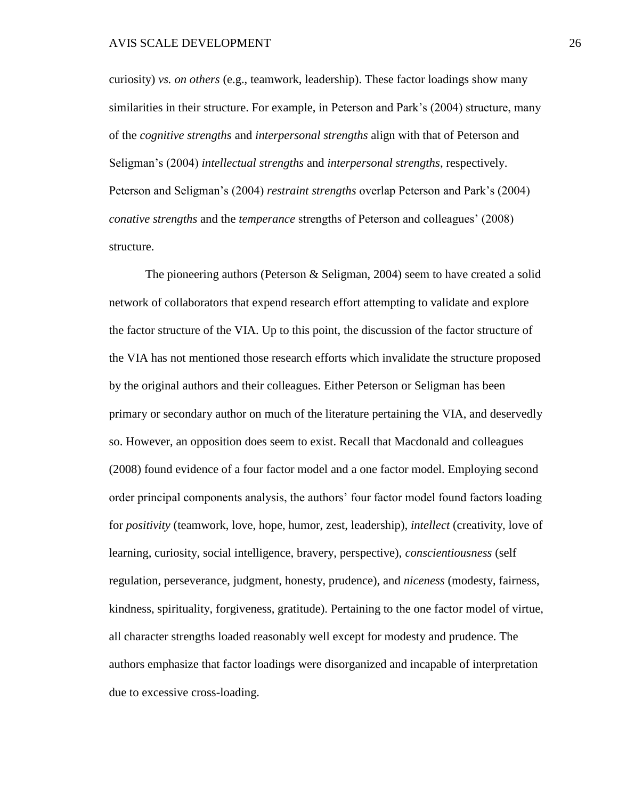curiosity) *vs. on others* (e.g., teamwork, leadership). These factor loadings show many similarities in their structure. For example, in Peterson and Park's (2004) structure, many of the *cognitive strengths* and *interpersonal strengths* align with that of Peterson and Seligman's (2004) *intellectual strengths* and *interpersonal strengths*, respectively. Peterson and Seligman's (2004) *restraint strengths* overlap Peterson and Park's (2004) *conative strengths* and the *temperance* strengths of Peterson and colleagues' (2008) structure.

The pioneering authors (Peterson & Seligman, 2004) seem to have created a solid network of collaborators that expend research effort attempting to validate and explore the factor structure of the VIA. Up to this point, the discussion of the factor structure of the VIA has not mentioned those research efforts which invalidate the structure proposed by the original authors and their colleagues. Either Peterson or Seligman has been primary or secondary author on much of the literature pertaining the VIA, and deservedly so. However, an opposition does seem to exist. Recall that Macdonald and colleagues (2008) found evidence of a four factor model and a one factor model. Employing second order principal components analysis, the authors' four factor model found factors loading for *positivity* (teamwork, love, hope, humor, zest, leadership), *intellect* (creativity, love of learning, curiosity, social intelligence, bravery, perspective), *conscientiousness* (self regulation, perseverance, judgment, honesty, prudence), and *niceness* (modesty, fairness, kindness, spirituality, forgiveness, gratitude). Pertaining to the one factor model of virtue, all character strengths loaded reasonably well except for modesty and prudence. The authors emphasize that factor loadings were disorganized and incapable of interpretation due to excessive cross-loading.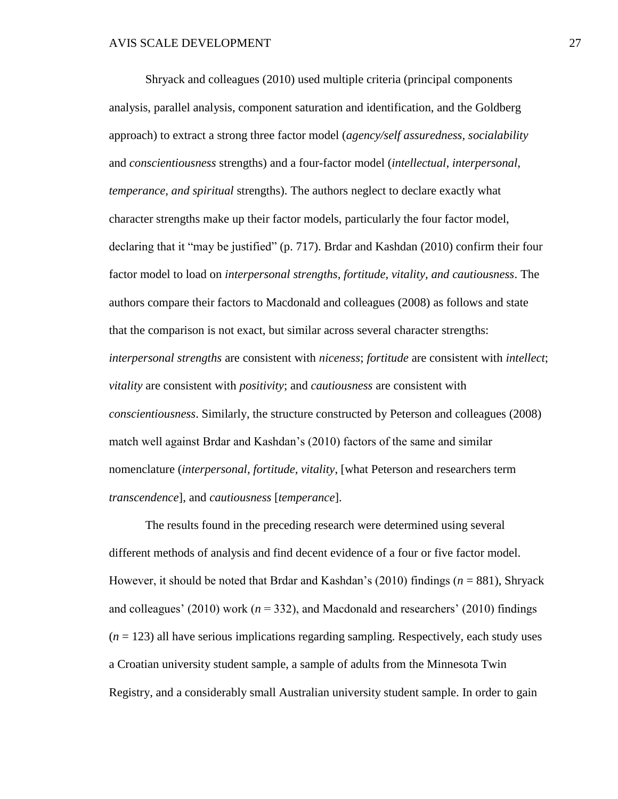Shryack and colleagues (2010) used multiple criteria (principal components analysis, parallel analysis, component saturation and identification, and the Goldberg approach) to extract a strong three factor model (*agency/self assuredness, socialability* and *conscientiousness* strengths) and a four-factor model (*intellectual, interpersonal, temperance, and spiritual* strengths). The authors neglect to declare exactly what character strengths make up their factor models, particularly the four factor model, declaring that it "may be justified" (p. 717). Brdar and Kashdan (2010) confirm their four factor model to load on *interpersonal strengths, fortitude, vitality, and cautiousness*. The authors compare their factors to Macdonald and colleagues (2008) as follows and state that the comparison is not exact, but similar across several character strengths: *interpersonal strengths* are consistent with *niceness*; *fortitude* are consistent with *intellect*; *vitality* are consistent with *positivity*; and *cautiousness* are consistent with *conscientiousness*. Similarly, the structure constructed by Peterson and colleagues (2008) match well against Brdar and Kashdan's (2010) factors of the same and similar nomenclature (*interpersonal, fortitude, vitality*, [what Peterson and researchers term *transcendence*], and *cautiousness* [*temperance*].

The results found in the preceding research were determined using several different methods of analysis and find decent evidence of a four or five factor model. However, it should be noted that Brdar and Kashdan's (2010) findings (*n* = 881), Shryack and colleagues' (2010) work ( $n = 332$ ), and Macdonald and researchers' (2010) findings  $(n = 123)$  all have serious implications regarding sampling. Respectively, each study uses a Croatian university student sample, a sample of adults from the Minnesota Twin Registry, and a considerably small Australian university student sample. In order to gain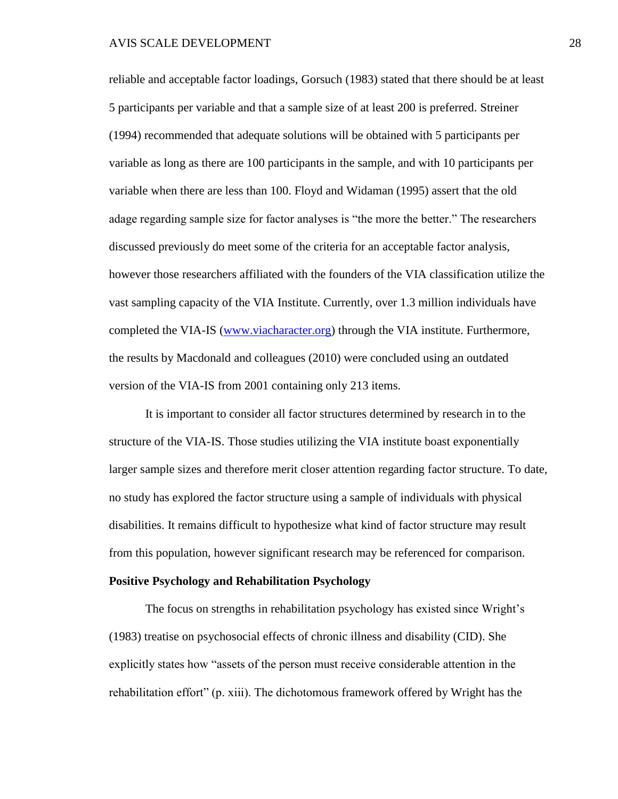reliable and acceptable factor loadings, Gorsuch (1983) stated that there should be at least 5 participants per variable and that a sample size of at least 200 is preferred. Streiner (1994) recommended that adequate solutions will be obtained with 5 participants per variable as long as there are 100 participants in the sample, and with 10 participants per variable when there are less than 100. Floyd and Widaman (1995) assert that the old adage regarding sample size for factor analyses is "the more the better." The researchers discussed previously do meet some of the criteria for an acceptable factor analysis, however those researchers affiliated with the founders of the VIA classification utilize the vast sampling capacity of the VIA Institute. Currently, over 1.3 million individuals have completed the VIA-IS [\(www.viacharacter.org\)](http://www.viacharacter.org/) through the VIA institute. Furthermore, the results by Macdonald and colleagues (2010) were concluded using an outdated version of the VIA-IS from 2001 containing only 213 items.

It is important to consider all factor structures determined by research in to the structure of the VIA-IS. Those studies utilizing the VIA institute boast exponentially larger sample sizes and therefore merit closer attention regarding factor structure. To date, no study has explored the factor structure using a sample of individuals with physical disabilities. It remains difficult to hypothesize what kind of factor structure may result from this population, however significant research may be referenced for comparison.

#### **Positive Psychology and Rehabilitation Psychology**

The focus on strengths in rehabilitation psychology has existed since Wright's (1983) treatise on psychosocial effects of chronic illness and disability (CID). She explicitly states how "assets of the person must receive considerable attention in the rehabilitation effort" (p. xiii). The dichotomous framework offered by Wright has the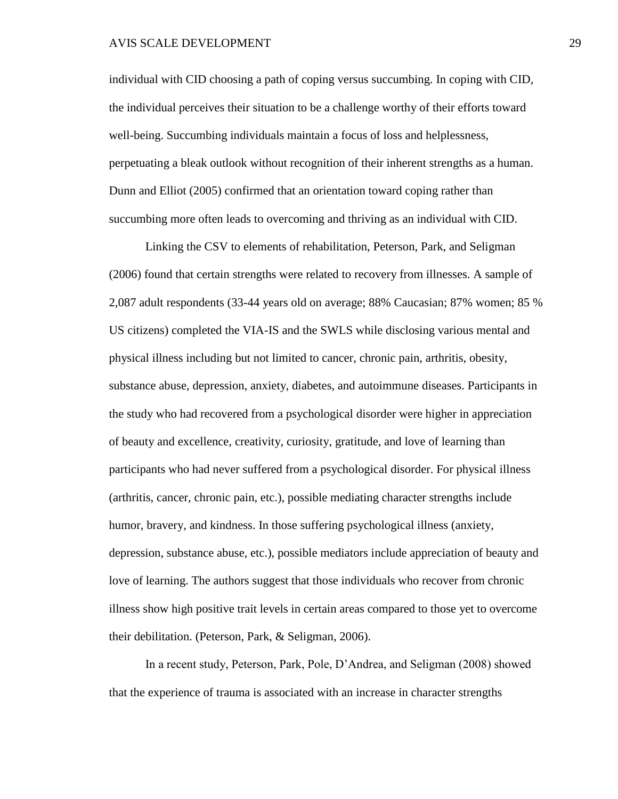#### AVIS SCALE DEVELOPMENT 29

individual with CID choosing a path of coping versus succumbing. In coping with CID, the individual perceives their situation to be a challenge worthy of their efforts toward well-being. Succumbing individuals maintain a focus of loss and helplessness, perpetuating a bleak outlook without recognition of their inherent strengths as a human. Dunn and Elliot (2005) confirmed that an orientation toward coping rather than succumbing more often leads to overcoming and thriving as an individual with CID.

Linking the CSV to elements of rehabilitation, Peterson, Park, and Seligman (2006) found that certain strengths were related to recovery from illnesses. A sample of 2,087 adult respondents (33-44 years old on average; 88% Caucasian; 87% women; 85 % US citizens) completed the VIA-IS and the SWLS while disclosing various mental and physical illness including but not limited to cancer, chronic pain, arthritis, obesity, substance abuse, depression, anxiety, diabetes, and autoimmune diseases. Participants in the study who had recovered from a psychological disorder were higher in appreciation of beauty and excellence, creativity, curiosity, gratitude, and love of learning than participants who had never suffered from a psychological disorder. For physical illness (arthritis, cancer, chronic pain, etc.), possible mediating character strengths include humor, bravery, and kindness. In those suffering psychological illness (anxiety, depression, substance abuse, etc.), possible mediators include appreciation of beauty and love of learning. The authors suggest that those individuals who recover from chronic illness show high positive trait levels in certain areas compared to those yet to overcome their debilitation. (Peterson, Park, & Seligman, 2006).

In a recent study, Peterson, Park, Pole, D'Andrea, and Seligman (2008) showed that the experience of trauma is associated with an increase in character strengths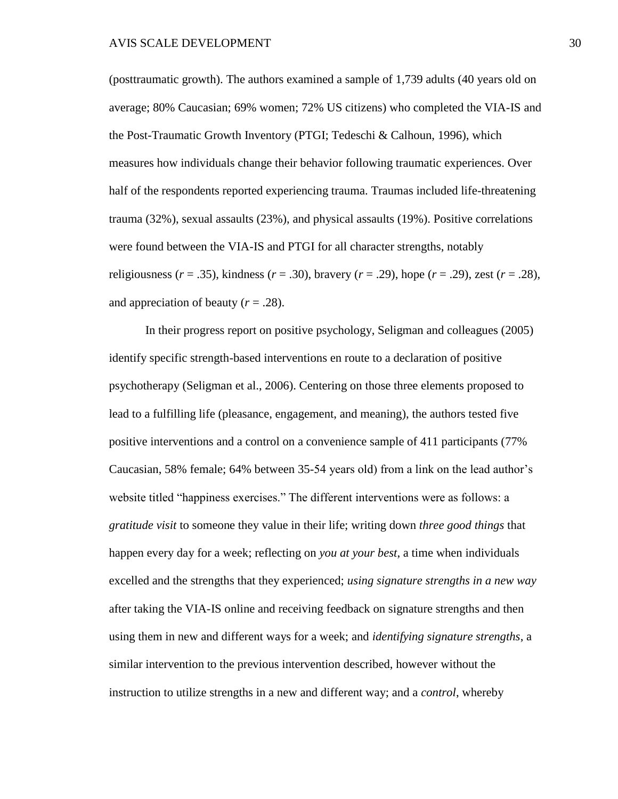(posttraumatic growth). The authors examined a sample of 1,739 adults (40 years old on average; 80% Caucasian; 69% women; 72% US citizens) who completed the VIA-IS and the Post-Traumatic Growth Inventory (PTGI; Tedeschi & Calhoun, 1996), which measures how individuals change their behavior following traumatic experiences. Over half of the respondents reported experiencing trauma. Traumas included life-threatening trauma (32%), sexual assaults (23%), and physical assaults (19%). Positive correlations were found between the VIA-IS and PTGI for all character strengths, notably religiousness (*r* = .35), kindness (*r* = .30), bravery (*r* = .29), hope (*r* = .29), zest (*r* = .28), and appreciation of beauty  $(r = .28)$ .

In their progress report on positive psychology, Seligman and colleagues (2005) identify specific strength-based interventions en route to a declaration of positive psychotherapy (Seligman et al., 2006). Centering on those three elements proposed to lead to a fulfilling life (pleasance, engagement, and meaning), the authors tested five positive interventions and a control on a convenience sample of 411 participants (77% Caucasian, 58% female; 64% between 35-54 years old) from a link on the lead author's website titled "happiness exercises." The different interventions were as follows: a *gratitude visit* to someone they value in their life; writing down *three good things* that happen every day for a week; reflecting on *you at your best*, a time when individuals excelled and the strengths that they experienced; *using signature strengths in a new way* after taking the VIA-IS online and receiving feedback on signature strengths and then using them in new and different ways for a week; and *identifying signature strengths*, a similar intervention to the previous intervention described, however without the instruction to utilize strengths in a new and different way; and a *control*, whereby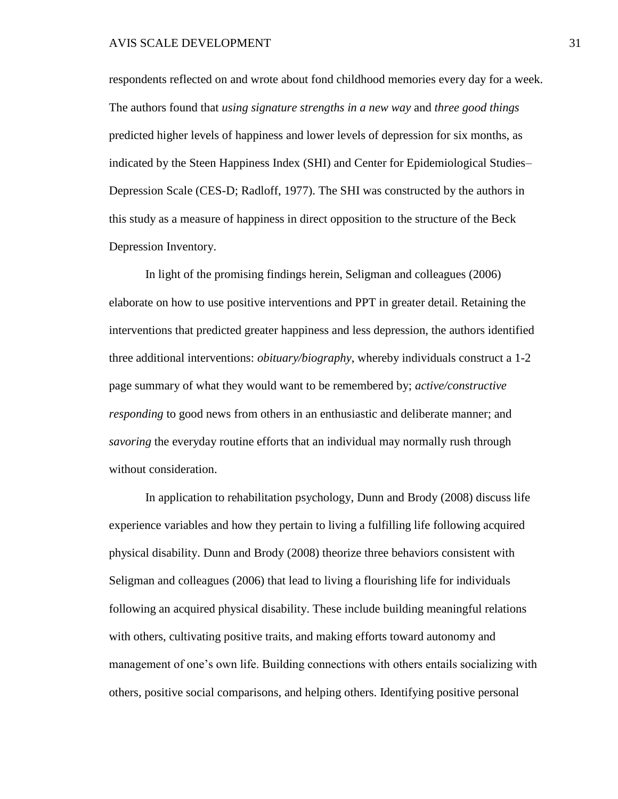#### AVIS SCALE DEVELOPMENT 31

respondents reflected on and wrote about fond childhood memories every day for a week. The authors found that *using signature strengths in a new way* and *three good things*  predicted higher levels of happiness and lower levels of depression for six months, as indicated by the Steen Happiness Index (SHI) and Center for Epidemiological Studies– Depression Scale (CES-D; Radloff, 1977). The SHI was constructed by the authors in this study as a measure of happiness in direct opposition to the structure of the Beck Depression Inventory.

In light of the promising findings herein, Seligman and colleagues (2006) elaborate on how to use positive interventions and PPT in greater detail. Retaining the interventions that predicted greater happiness and less depression, the authors identified three additional interventions: *obituary/biography*, whereby individuals construct a 1-2 page summary of what they would want to be remembered by; *active/constructive responding* to good news from others in an enthusiastic and deliberate manner; and *savoring* the everyday routine efforts that an individual may normally rush through without consideration.

In application to rehabilitation psychology, Dunn and Brody (2008) discuss life experience variables and how they pertain to living a fulfilling life following acquired physical disability. Dunn and Brody (2008) theorize three behaviors consistent with Seligman and colleagues (2006) that lead to living a flourishing life for individuals following an acquired physical disability. These include building meaningful relations with others, cultivating positive traits, and making efforts toward autonomy and management of one's own life. Building connections with others entails socializing with others, positive social comparisons, and helping others. Identifying positive personal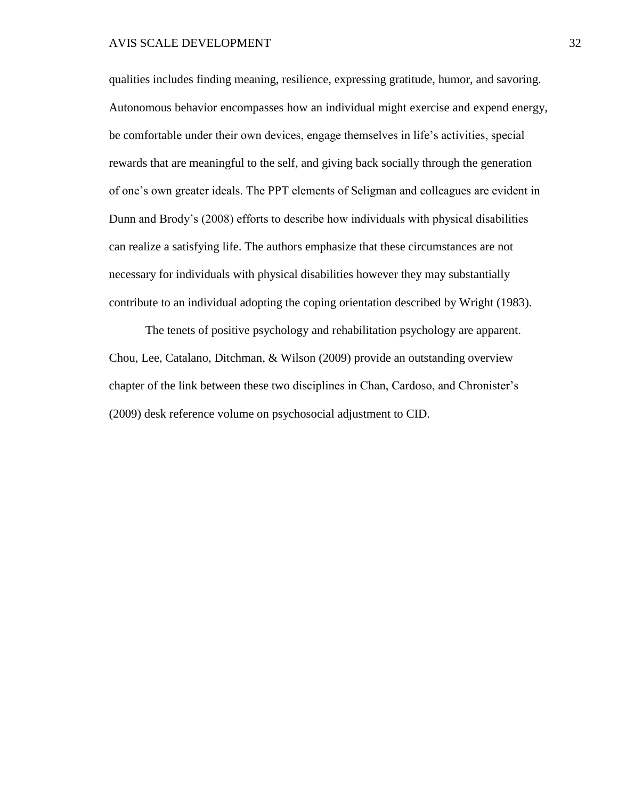## AVIS SCALE DEVELOPMENT 32

qualities includes finding meaning, resilience, expressing gratitude, humor, and savoring. Autonomous behavior encompasses how an individual might exercise and expend energy, be comfortable under their own devices, engage themselves in life's activities, special rewards that are meaningful to the self, and giving back socially through the generation of one's own greater ideals. The PPT elements of Seligman and colleagues are evident in Dunn and Brody's (2008) efforts to describe how individuals with physical disabilities can realize a satisfying life. The authors emphasize that these circumstances are not necessary for individuals with physical disabilities however they may substantially contribute to an individual adopting the coping orientation described by Wright (1983).

The tenets of positive psychology and rehabilitation psychology are apparent. Chou, Lee, Catalano, Ditchman, & Wilson (2009) provide an outstanding overview chapter of the link between these two disciplines in Chan, Cardoso, and Chronister's (2009) desk reference volume on psychosocial adjustment to CID.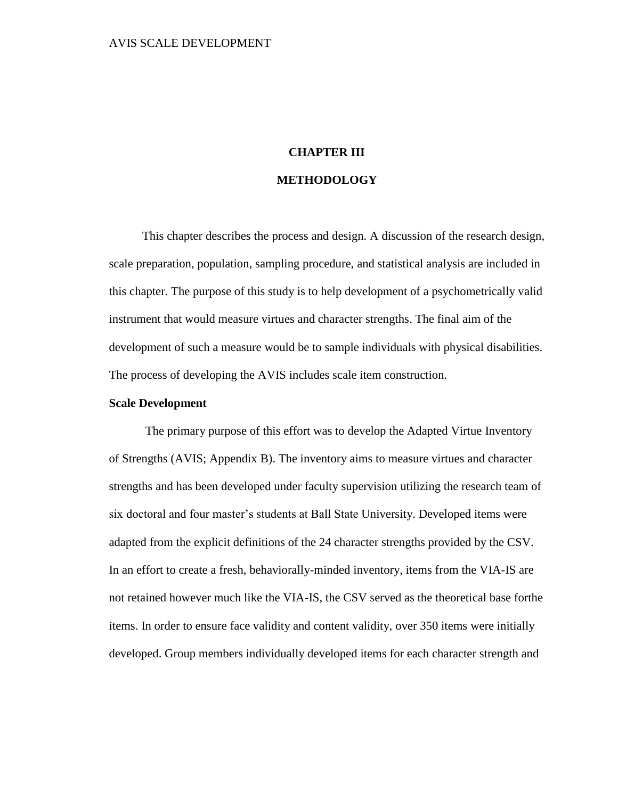# **CHAPTER III METHODOLOGY**

This chapter describes the process and design. A discussion of the research design, scale preparation, population, sampling procedure, and statistical analysis are included in this chapter. The purpose of this study is to help development of a psychometrically valid instrument that would measure virtues and character strengths. The final aim of the development of such a measure would be to sample individuals with physical disabilities. The process of developing the AVIS includes scale item construction.

# **Scale Development**

The primary purpose of this effort was to develop the Adapted Virtue Inventory of Strengths (AVIS; Appendix B). The inventory aims to measure virtues and character strengths and has been developed under faculty supervision utilizing the research team of six doctoral and four master's students at Ball State University. Developed items were adapted from the explicit definitions of the 24 character strengths provided by the CSV. In an effort to create a fresh, behaviorally-minded inventory, items from the VIA-IS are not retained however much like the VIA-IS, the CSV served as the theoretical base forthe items. In order to ensure face validity and content validity, over 350 items were initially developed. Group members individually developed items for each character strength and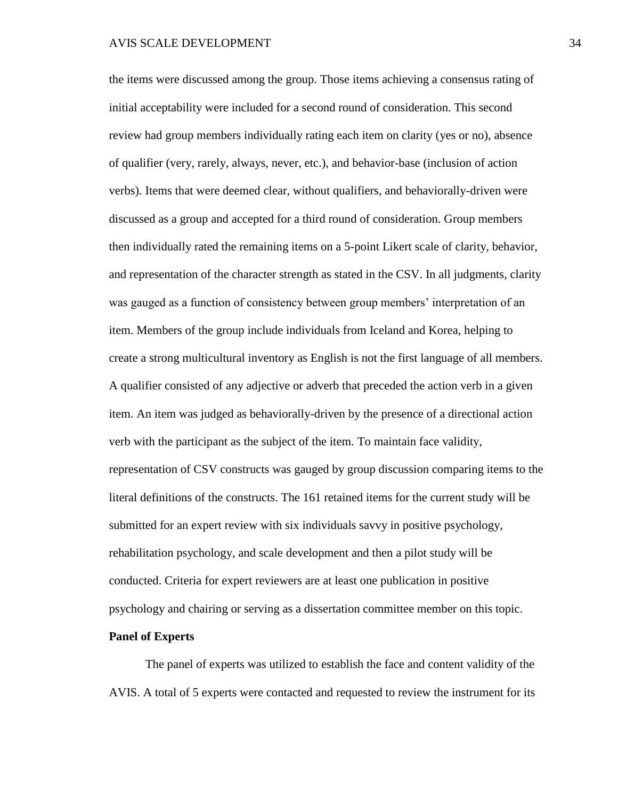the items were discussed among the group. Those items achieving a consensus rating of initial acceptability were included for a second round of consideration. This second review had group members individually rating each item on clarity (yes or no), absence of qualifier (very, rarely, always, never, etc.), and behavior-base (inclusion of action verbs). Items that were deemed clear, without qualifiers, and behaviorally-driven were discussed as a group and accepted for a third round of consideration. Group members then individually rated the remaining items on a 5-point Likert scale of clarity, behavior, and representation of the character strength as stated in the CSV. In all judgments, clarity was gauged as a function of consistency between group members' interpretation of an item. Members of the group include individuals from Iceland and Korea, helping to create a strong multicultural inventory as English is not the first language of all members. A qualifier consisted of any adjective or adverb that preceded the action verb in a given item. An item was judged as behaviorally-driven by the presence of a directional action verb with the participant as the subject of the item. To maintain face validity, representation of CSV constructs was gauged by group discussion comparing items to the literal definitions of the constructs. The 161 retained items for the current study will be submitted for an expert review with six individuals savvy in positive psychology, rehabilitation psychology, and scale development and then a pilot study will be conducted. Criteria for expert reviewers are at least one publication in positive psychology and chairing or serving as a dissertation committee member on this topic.

## **Panel of Experts**

The panel of experts was utilized to establish the face and content validity of the AVIS. A total of 5 experts were contacted and requested to review the instrument for its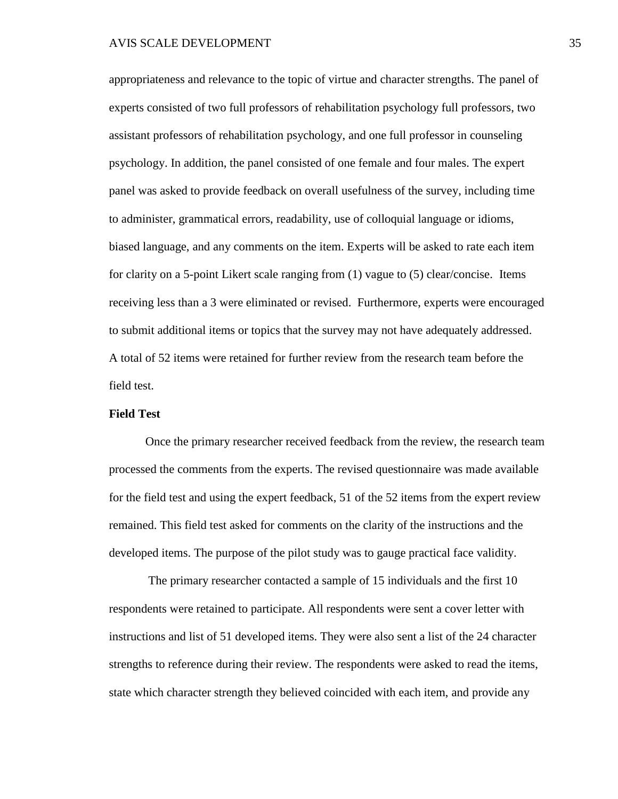appropriateness and relevance to the topic of virtue and character strengths. The panel of experts consisted of two full professors of rehabilitation psychology full professors, two assistant professors of rehabilitation psychology, and one full professor in counseling psychology. In addition, the panel consisted of one female and four males. The expert panel was asked to provide feedback on overall usefulness of the survey, including time to administer, grammatical errors, readability, use of colloquial language or idioms, biased language, and any comments on the item. Experts will be asked to rate each item for clarity on a 5-point Likert scale ranging from (1) vague to (5) clear/concise. Items receiving less than a 3 were eliminated or revised. Furthermore, experts were encouraged to submit additional items or topics that the survey may not have adequately addressed. A total of 52 items were retained for further review from the research team before the field test.

# **Field Test**

Once the primary researcher received feedback from the review, the research team processed the comments from the experts. The revised questionnaire was made available for the field test and using the expert feedback, 51 of the 52 items from the expert review remained. This field test asked for comments on the clarity of the instructions and the developed items. The purpose of the pilot study was to gauge practical face validity.

The primary researcher contacted a sample of 15 individuals and the first 10 respondents were retained to participate. All respondents were sent a cover letter with instructions and list of 51 developed items. They were also sent a list of the 24 character strengths to reference during their review. The respondents were asked to read the items, state which character strength they believed coincided with each item, and provide any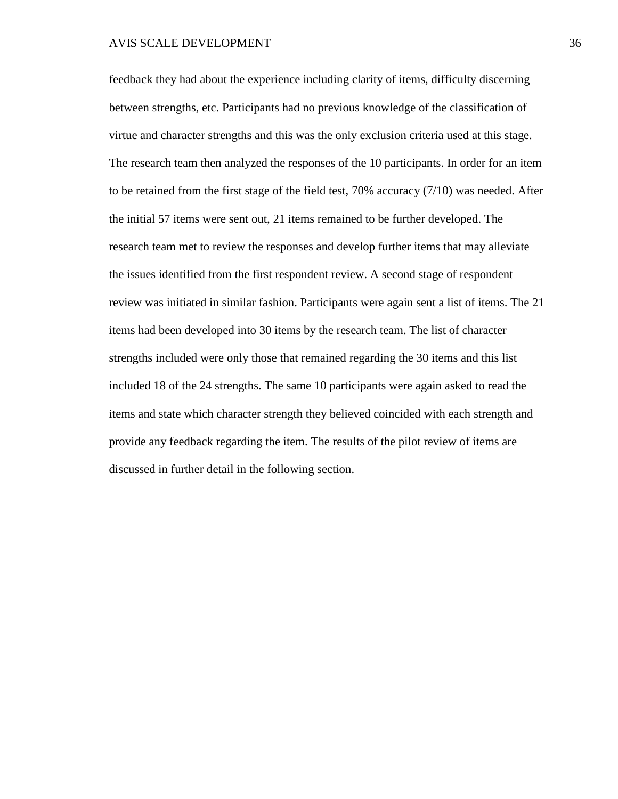#### AVIS SCALE DEVELOPMENT 36

feedback they had about the experience including clarity of items, difficulty discerning between strengths, etc. Participants had no previous knowledge of the classification of virtue and character strengths and this was the only exclusion criteria used at this stage. The research team then analyzed the responses of the 10 participants. In order for an item to be retained from the first stage of the field test, 70% accuracy (7/10) was needed. After the initial 57 items were sent out, 21 items remained to be further developed. The research team met to review the responses and develop further items that may alleviate the issues identified from the first respondent review. A second stage of respondent review was initiated in similar fashion. Participants were again sent a list of items. The 21 items had been developed into 30 items by the research team. The list of character strengths included were only those that remained regarding the 30 items and this list included 18 of the 24 strengths. The same 10 participants were again asked to read the items and state which character strength they believed coincided with each strength and provide any feedback regarding the item. The results of the pilot review of items are discussed in further detail in the following section.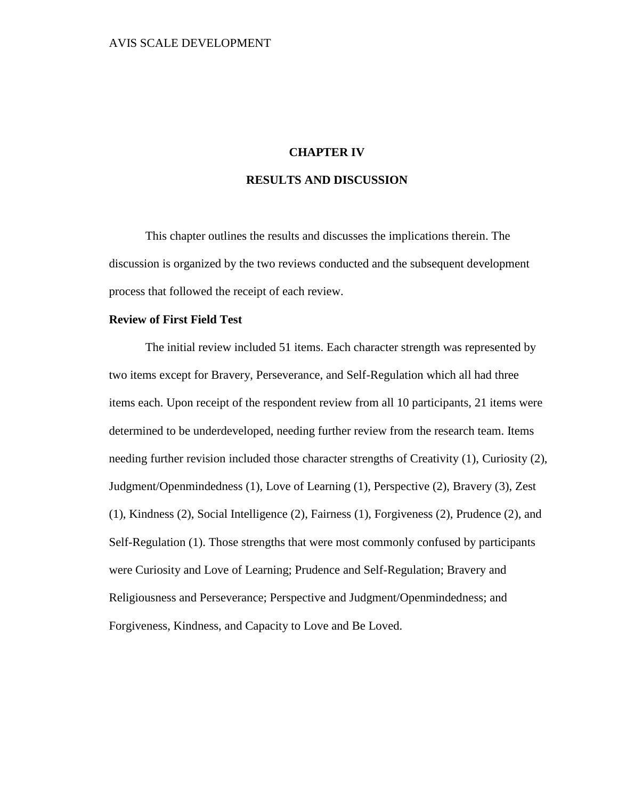# **CHAPTER IV**

# **RESULTS AND DISCUSSION**

This chapter outlines the results and discusses the implications therein. The discussion is organized by the two reviews conducted and the subsequent development process that followed the receipt of each review.

## **Review of First Field Test**

The initial review included 51 items. Each character strength was represented by two items except for Bravery, Perseverance, and Self-Regulation which all had three items each. Upon receipt of the respondent review from all 10 participants, 21 items were determined to be underdeveloped, needing further review from the research team. Items needing further revision included those character strengths of Creativity (1), Curiosity (2), Judgment/Openmindedness (1), Love of Learning (1), Perspective (2), Bravery (3), Zest (1), Kindness (2), Social Intelligence (2), Fairness (1), Forgiveness (2), Prudence (2), and Self-Regulation (1). Those strengths that were most commonly confused by participants were Curiosity and Love of Learning; Prudence and Self-Regulation; Bravery and Religiousness and Perseverance; Perspective and Judgment/Openmindedness; and Forgiveness, Kindness, and Capacity to Love and Be Loved.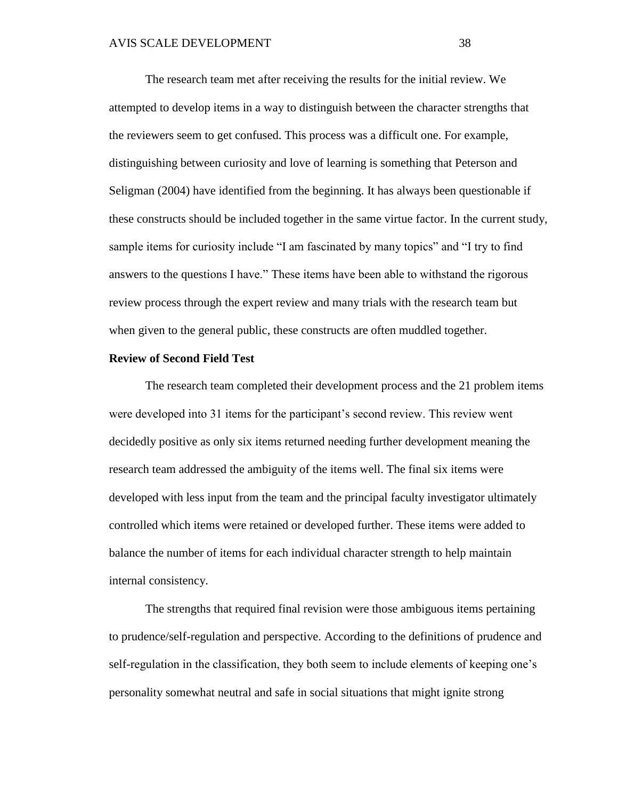The research team met after receiving the results for the initial review. We attempted to develop items in a way to distinguish between the character strengths that the reviewers seem to get confused. This process was a difficult one. For example, distinguishing between curiosity and love of learning is something that Peterson and Seligman (2004) have identified from the beginning. It has always been questionable if these constructs should be included together in the same virtue factor. In the current study, sample items for curiosity include "I am fascinated by many topics" and "I try to find answers to the questions I have." These items have been able to withstand the rigorous review process through the expert review and many trials with the research team but when given to the general public, these constructs are often muddled together.

### **Review of Second Field Test**

The research team completed their development process and the 21 problem items were developed into 31 items for the participant's second review. This review went decidedly positive as only six items returned needing further development meaning the research team addressed the ambiguity of the items well. The final six items were developed with less input from the team and the principal faculty investigator ultimately controlled which items were retained or developed further. These items were added to balance the number of items for each individual character strength to help maintain internal consistency.

The strengths that required final revision were those ambiguous items pertaining to prudence/self-regulation and perspective. According to the definitions of prudence and self-regulation in the classification, they both seem to include elements of keeping one's personality somewhat neutral and safe in social situations that might ignite strong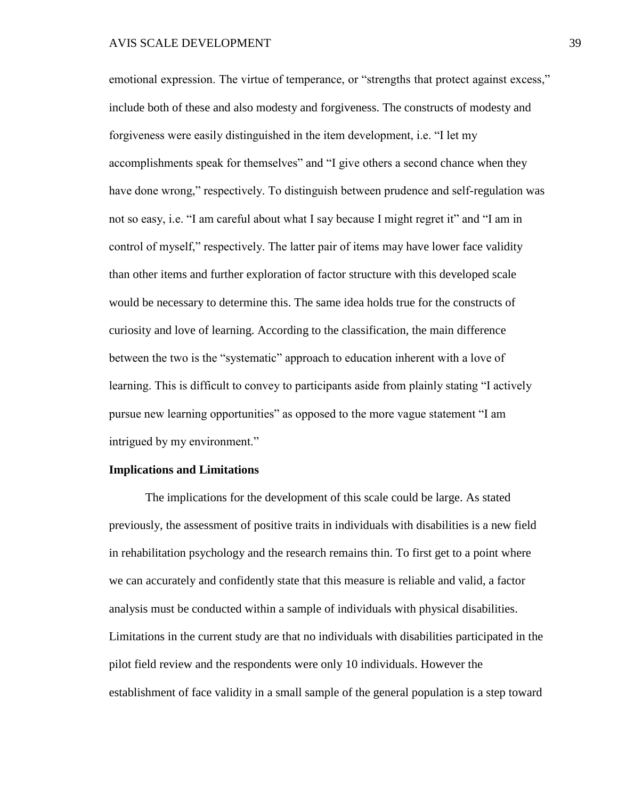emotional expression. The virtue of temperance, or "strengths that protect against excess," include both of these and also modesty and forgiveness. The constructs of modesty and forgiveness were easily distinguished in the item development, i.e. "I let my accomplishments speak for themselves" and "I give others a second chance when they have done wrong," respectively. To distinguish between prudence and self-regulation was not so easy, i.e. "I am careful about what I say because I might regret it" and "I am in control of myself," respectively. The latter pair of items may have lower face validity than other items and further exploration of factor structure with this developed scale would be necessary to determine this. The same idea holds true for the constructs of curiosity and love of learning. According to the classification, the main difference between the two is the "systematic" approach to education inherent with a love of learning. This is difficult to convey to participants aside from plainly stating "I actively pursue new learning opportunities" as opposed to the more vague statement "I am intrigued by my environment."

## **Implications and Limitations**

The implications for the development of this scale could be large. As stated previously, the assessment of positive traits in individuals with disabilities is a new field in rehabilitation psychology and the research remains thin. To first get to a point where we can accurately and confidently state that this measure is reliable and valid, a factor analysis must be conducted within a sample of individuals with physical disabilities. Limitations in the current study are that no individuals with disabilities participated in the pilot field review and the respondents were only 10 individuals. However the establishment of face validity in a small sample of the general population is a step toward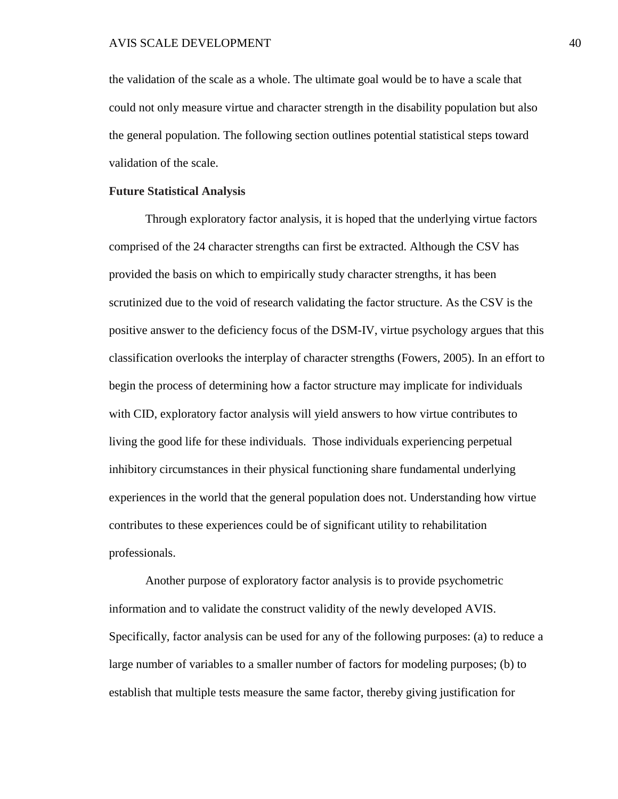the validation of the scale as a whole. The ultimate goal would be to have a scale that could not only measure virtue and character strength in the disability population but also the general population. The following section outlines potential statistical steps toward validation of the scale.

# **Future Statistical Analysis**

Through exploratory factor analysis, it is hoped that the underlying virtue factors comprised of the 24 character strengths can first be extracted. Although the CSV has provided the basis on which to empirically study character strengths, it has been scrutinized due to the void of research validating the factor structure. As the CSV is the positive answer to the deficiency focus of the DSM-IV, virtue psychology argues that this classification overlooks the interplay of character strengths (Fowers, 2005). In an effort to begin the process of determining how a factor structure may implicate for individuals with CID, exploratory factor analysis will yield answers to how virtue contributes to living the good life for these individuals. Those individuals experiencing perpetual inhibitory circumstances in their physical functioning share fundamental underlying experiences in the world that the general population does not. Understanding how virtue contributes to these experiences could be of significant utility to rehabilitation professionals.

Another purpose of exploratory factor analysis is to provide psychometric information and to validate the construct validity of the newly developed AVIS. Specifically, factor analysis can be used for any of the following purposes: (a) to reduce a large number of variables to a smaller number of factors for modeling purposes; (b) to establish that multiple tests measure the same factor, thereby giving justification for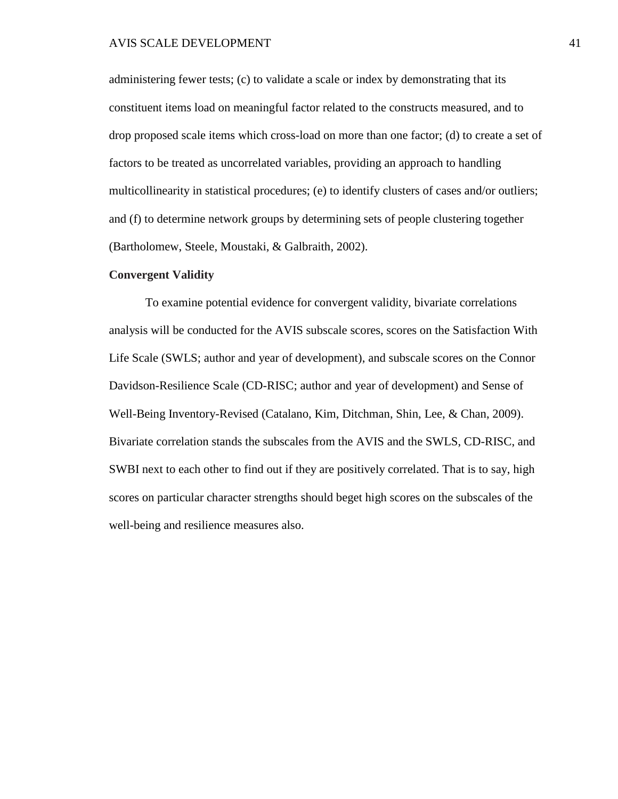administering fewer tests; (c) to validate a scale or index by demonstrating that its constituent items load on meaningful factor related to the constructs measured, and to drop proposed scale items which cross-load on more than one factor; (d) to create a set of factors to be treated as uncorrelated variables, providing an approach to handling multicollinearity in statistical procedures; (e) to identify clusters of cases and/or outliers; and (f) to determine network groups by determining sets of people clustering together (Bartholomew, Steele, Moustaki, & Galbraith, 2002).

## **Convergent Validity**

To examine potential evidence for convergent validity, bivariate correlations analysis will be conducted for the AVIS subscale scores, scores on the Satisfaction With Life Scale (SWLS; author and year of development), and subscale scores on the Connor Davidson-Resilience Scale (CD-RISC; author and year of development) and Sense of Well-Being Inventory-Revised (Catalano, Kim, Ditchman, Shin, Lee, & Chan, 2009). Bivariate correlation stands the subscales from the AVIS and the SWLS, CD-RISC, and SWBI next to each other to find out if they are positively correlated. That is to say, high scores on particular character strengths should beget high scores on the subscales of the well-being and resilience measures also.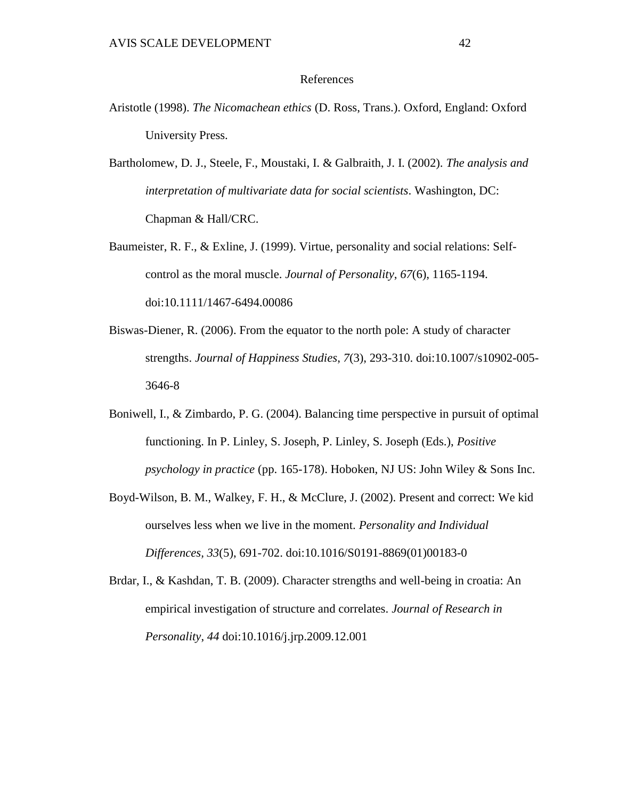# References

- Aristotle (1998). *The Nicomachean ethics* (D. Ross, Trans.). Oxford, England: Oxford University Press.
- Bartholomew, D. J., Steele, F., Moustaki, I. & Galbraith, J. I. (2002). *The analysis and interpretation of multivariate data for social scientists*. Washington, DC: Chapman & Hall/CRC.
- Baumeister, R. F., & Exline, J. (1999). Virtue, personality and social relations: Selfcontrol as the moral muscle. *Journal of Personality*, *67*(6), 1165-1194. doi:10.1111/1467-6494.00086
- Biswas-Diener, R. (2006). From the equator to the north pole: A study of character strengths. *Journal of Happiness Studies*, *7*(3), 293-310. doi:10.1007/s10902-005- 3646-8
- Boniwell, I., & Zimbardo, P. G. (2004). Balancing time perspective in pursuit of optimal functioning. In P. Linley, S. Joseph, P. Linley, S. Joseph (Eds.), *Positive psychology in practice* (pp. 165-178). Hoboken, NJ US: John Wiley & Sons Inc.
- Boyd-Wilson, B. M., Walkey, F. H., & McClure, J. (2002). Present and correct: We kid ourselves less when we live in the moment. *Personality and Individual Differences, 33*(5), 691-702. doi:10.1016/S0191-8869(01)00183-0
- Brdar, I., & Kashdan, T. B. (2009). Character strengths and well-being in croatia: An empirical investigation of structure and correlates. *Journal of Research in Personality*, *44* doi:10.1016/j.jrp.2009.12.001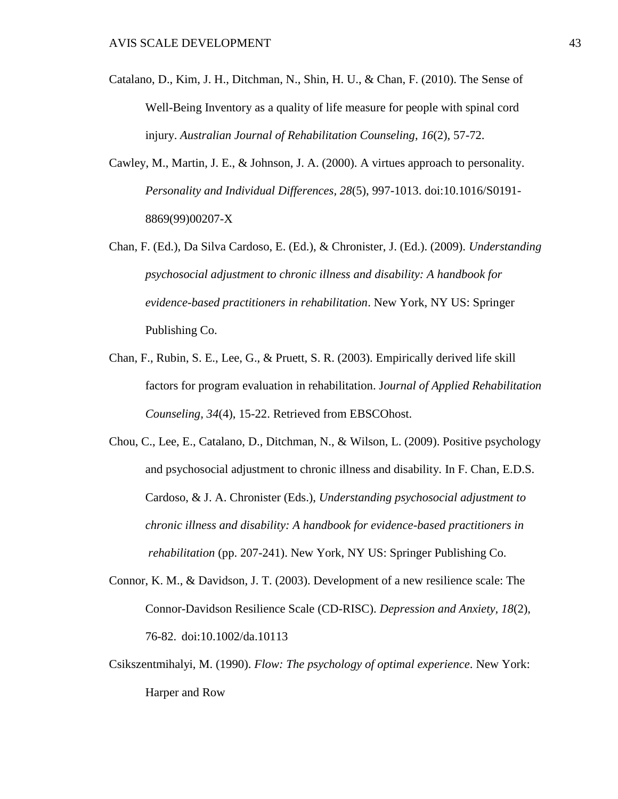- Catalano, D., Kim, J. H., Ditchman, N., Shin, H. U., & Chan, F. (2010). The Sense of Well-Being Inventory as a quality of life measure for people with spinal cord injury. *Australian Journal of Rehabilitation Counseling*, *16*(2), 57-72.
- Cawley, M., Martin, J. E., & Johnson, J. A. (2000). A virtues approach to personality. *Personality and Individual Differences, 28*(5), 997-1013. doi:10.1016/S0191- 8869(99)00207-X
- Chan, F. (Ed.), Da Silva Cardoso, E. (Ed.), & Chronister, J. (Ed.). (2009). *Understanding psychosocial adjustment to chronic illness and disability: A handbook for evidence-based practitioners in rehabilitation*. New York, NY US: Springer Publishing Co.
- Chan, F., Rubin, S. E., Lee, G., & Pruett, S. R. (2003). Empirically derived life skill factors for program evaluation in rehabilitation. J*ournal of Applied Rehabilitation Counseling, 34*(4), 15-22. Retrieved from EBSCOhost.
- Chou, C., Lee, E., Catalano, D., Ditchman, N., & Wilson, L. (2009). Positive psychology and psychosocial adjustment to chronic illness and disability. In F. Chan, E.D.S. Cardoso, & J. A. Chronister (Eds.), *Understanding psychosocial adjustment to chronic illness and disability: A handbook for evidence-based practitioners in rehabilitation* (pp. 207-241). New York, NY US: Springer Publishing Co.
- Connor, K. M., & Davidson, J. T. (2003). Development of a new resilience scale: The Connor-Davidson Resilience Scale (CD-RISC). *Depression and Anxiety, 18*(2), 76-82. doi:10.1002/da.10113
- Csikszentmihalyi, M. (1990). *Flow: The psychology of optimal experience*. New York: Harper and Row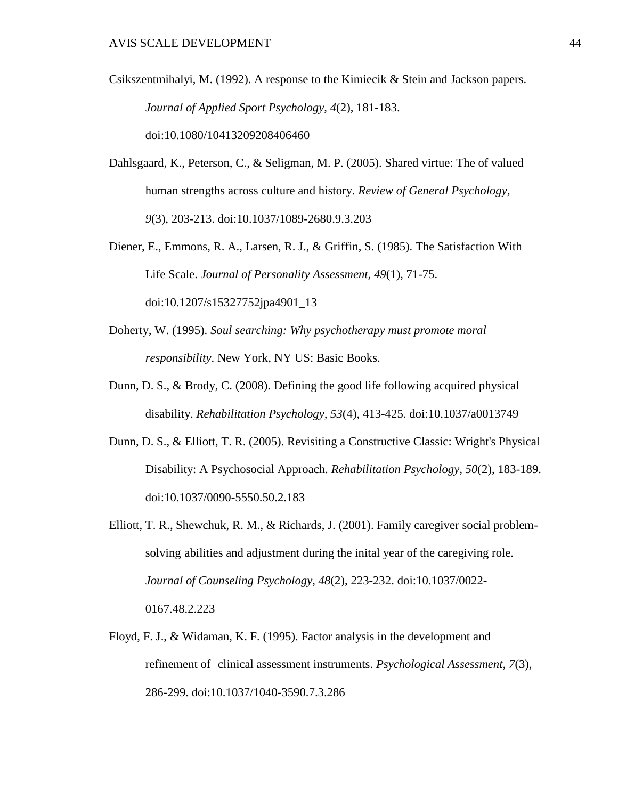- Csikszentmihalyi, M. (1992). A response to the Kimiecik & Stein and Jackson papers. *Journal of Applied Sport Psychology, 4*(2), 181-183. doi:10.1080/10413209208406460
- Dahlsgaard, K., Peterson, C., & Seligman, M. P. (2005). Shared virtue: The of valued human strengths across culture and history. *Review of General Psychology, 9*(3), 203-213. doi:10.1037/1089-2680.9.3.203
- Diener, E., Emmons, R. A., Larsen, R. J., & Griffin, S. (1985). The Satisfaction With Life Scale. *Journal of Personality Assessment, 49*(1), 71-75. doi:10.1207/s15327752jpa4901\_13
- Doherty, W. (1995). *Soul searching: Why psychotherapy must promote moral responsibility*. New York, NY US: Basic Books.
- Dunn, D. S., & Brody, C. (2008). Defining the good life following acquired physical disability. *Rehabilitation Psychology, 53*(4), 413-425. doi:10.1037/a0013749
- Dunn, D. S., & Elliott, T. R. (2005). Revisiting a Constructive Classic: Wright's Physical Disability: A Psychosocial Approach. *Rehabilitation Psychology, 50*(2), 183-189. doi:10.1037/0090-5550.50.2.183
- Elliott, T. R., Shewchuk, R. M., & Richards, J. (2001). Family caregiver social problemsolving abilities and adjustment during the inital year of the caregiving role. *Journal of Counseling Psychology, 48*(2), 223-232. doi:10.1037/0022- 0167.48.2.223
- Floyd, F. J., & Widaman, K. F. (1995). Factor analysis in the development and refinement of clinical assessment instruments. *Psychological Assessment, 7*(3), 286-299. doi:10.1037/1040-3590.7.3.286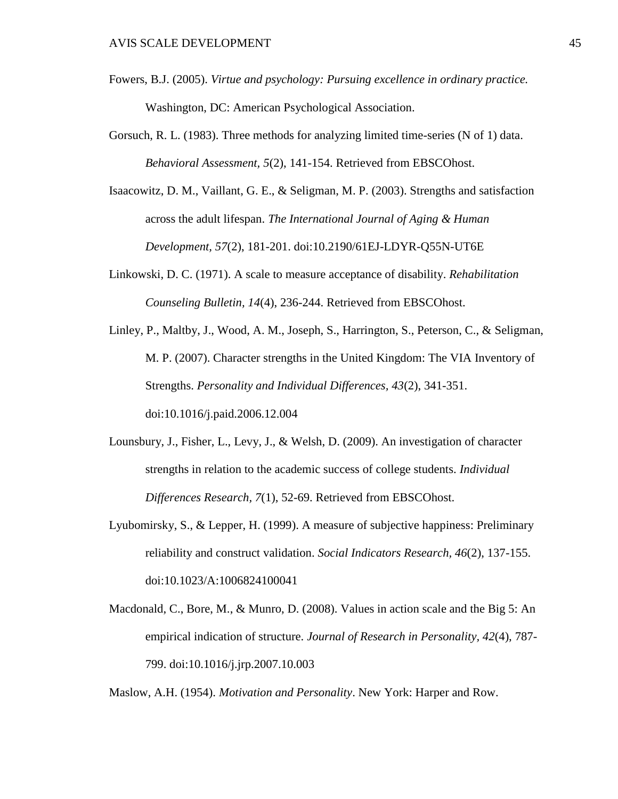- Fowers, B.J. (2005). *Virtue and psychology: Pursuing excellence in ordinary practice.*  Washington, DC: American Psychological Association.
- Gorsuch, R. L. (1983). Three methods for analyzing limited time-series (N of 1) data. *Behavioral Assessment, 5*(2), 141-154. Retrieved from EBSCOhost.
- Isaacowitz, D. M., Vaillant, G. E., & Seligman, M. P. (2003). Strengths and satisfaction across the adult lifespan. *The International Journal of Aging & Human Development, 57*(2), 181-201. doi:10.2190/61EJ-LDYR-Q55N-UT6E
- Linkowski, D. C. (1971). A scale to measure acceptance of disability. *Rehabilitation Counseling Bulletin, 14*(4), 236-244. Retrieved from EBSCOhost.
- Linley, P., Maltby, J., Wood, A. M., Joseph, S., Harrington, S., Peterson, C., & Seligman, M. P. (2007). Character strengths in the United Kingdom: The VIA Inventory of Strengths. *Personality and Individual Differences, 43*(2), 341-351. doi:10.1016/j.paid.2006.12.004
- Lounsbury, J., Fisher, L., Levy, J., & Welsh, D. (2009). An investigation of character strengths in relation to the academic success of college students. *Individual Differences Research, 7*(1), 52-69. Retrieved from EBSCOhost.
- Lyubomirsky, S., & Lepper, H. (1999). A measure of subjective happiness: Preliminary reliability and construct validation. *Social Indicators Research, 46*(2), 137-155. doi:10.1023/A:1006824100041
- Macdonald, C., Bore, M., & Munro, D. (2008). Values in action scale and the Big 5: An empirical indication of structure. *Journal of Research in Personality, 42*(4), 787- 799. doi:10.1016/j.jrp.2007.10.003

Maslow, A.H. (1954). *Motivation and Personality*. New York: Harper and Row.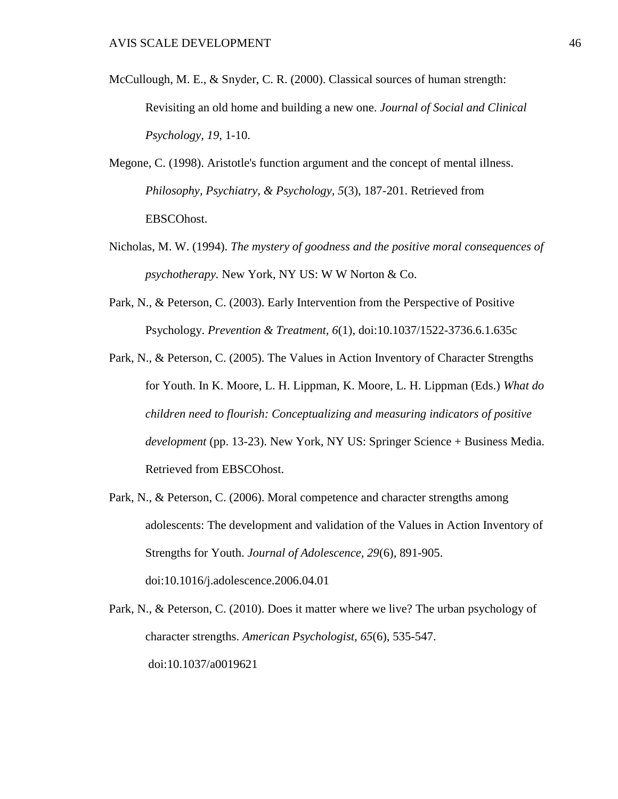- McCullough, M. E., & Snyder, C. R. (2000). Classical sources of human strength: Revisiting an old home and building a new one. *Journal of Social and Clinical Psychology, 19*, 1-10.
- Megone, C. (1998). Aristotle's function argument and the concept of mental illness. *Philosophy, Psychiatry, & Psychology, 5*(3), 187-201. Retrieved from EBSCOhost.
- Nicholas, M. W. (1994). *The mystery of goodness and the positive moral consequences of psychotherapy.* New York, NY US: W W Norton & Co.
- Park, N., & Peterson, C. (2003). Early Intervention from the Perspective of Positive Psychology. *Prevention & Treatment, 6*(1), doi:10.1037/1522-3736.6.1.635c
- Park, N., & Peterson, C. (2005). The Values in Action Inventory of Character Strengths for Youth. In K. Moore, L. H. Lippman, K. Moore, L. H. Lippman (Eds.) *What do children need to flourish: Conceptualizing and measuring indicators of positive development* (pp. 13-23). New York, NY US: Springer Science + Business Media. Retrieved from EBSCOhost.
- Park, N., & Peterson, C. (2006). Moral competence and character strengths among adolescents: The development and validation of the Values in Action Inventory of Strengths for Youth. *Journal of Adolescence, 29*(6), 891-905. doi:10.1016/j.adolescence.2006.04.01
- Park, N., & Peterson, C. (2010). Does it matter where we live? The urban psychology of character strengths. *American Psychologist, 65*(6), 535-547. doi:10.1037/a0019621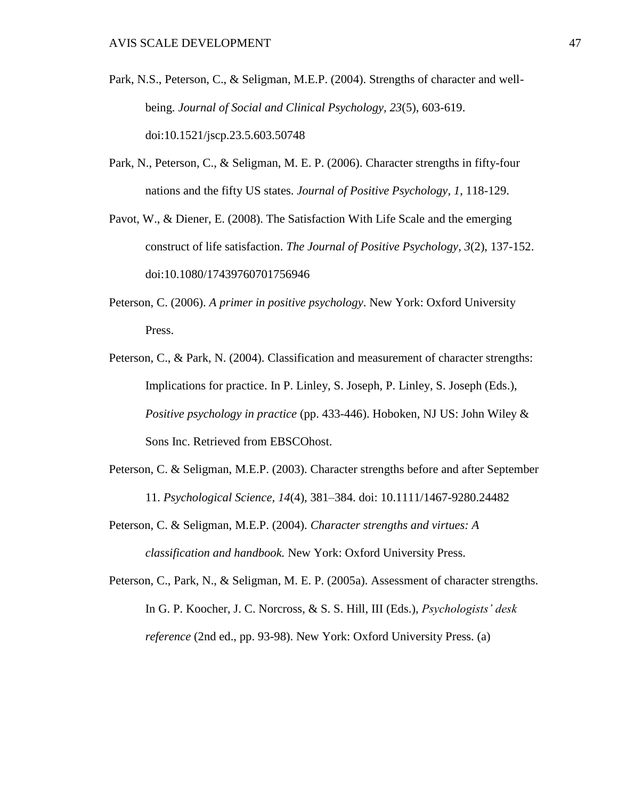- Park, N.S., Peterson, C., & Seligman, M.E.P. (2004). Strengths of character and wellbeing. *Journal of Social and Clinical Psychology, 23*(5), 603-619. doi:10.1521/jscp.23.5.603.50748
- Park, N., Peterson, C., & Seligman, M. E. P. (2006). Character strengths in fifty-four nations and the fifty US states. *Journal of Positive Psychology, 1*, 118-129.
- Pavot, W., & Diener, E. (2008). The Satisfaction With Life Scale and the emerging construct of life satisfaction. *The Journal of Positive Psychology, 3*(2), 137-152. doi:10.1080/17439760701756946
- Peterson, C. (2006). *A primer in positive psychology*. New York: Oxford University Press.
- Peterson, C., & Park, N. (2004). Classification and measurement of character strengths: Implications for practice. In P. Linley, S. Joseph, P. Linley, S. Joseph (Eds.), *Positive psychology in practice* (pp. 433-446). Hoboken, NJ US: John Wiley & Sons Inc. Retrieved from EBSCOhost.
- Peterson, C. & Seligman, M.E.P. (2003). Character strengths before and after September 11. *Psychological Science, 14*(4), 381–384. doi: 10.1111/1467-9280.24482
- Peterson, C. & Seligman, M.E.P. (2004). *Character strengths and virtues: A classification and handbook.* New York: Oxford University Press.

Peterson, C., Park, N., & Seligman, M. E. P. (2005a). Assessment of character strengths. In G. P. Koocher, J. C. Norcross, & S. S. Hill, III (Eds.), *Psychologists' desk reference* (2nd ed., pp. 93-98). New York: Oxford University Press. (a)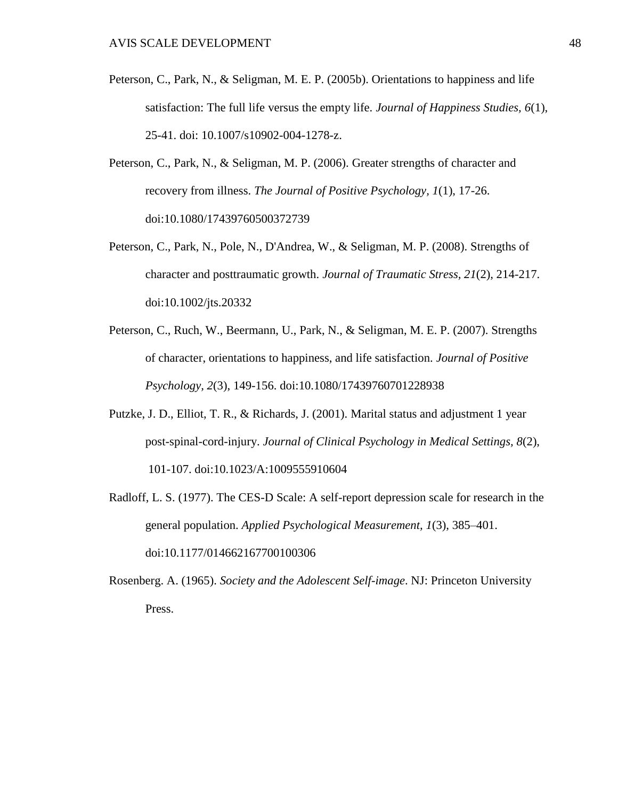- Peterson, C., Park, N., & Seligman, M. E. P. (2005b). Orientations to happiness and life satisfaction: The full life versus the empty life. *Journal of Happiness Studies, 6*(1), 25-41. doi: 10.1007/s10902-004-1278-z.
- Peterson, C., Park, N., & Seligman, M. P. (2006). Greater strengths of character and recovery from illness. *The Journal of Positive Psychology, 1*(1), 17-26. doi:10.1080/17439760500372739
- Peterson, C., Park, N., Pole, N., D'Andrea, W., & Seligman, M. P. (2008). Strengths of character and posttraumatic growth. *Journal of Traumatic Stress, 21*(2), 214-217. doi:10.1002/jts.20332
- Peterson, C., Ruch, W., Beermann, U., Park, N., & Seligman, M. E. P. (2007). Strengths of character, orientations to happiness, and life satisfaction. *Journal of Positive Psychology, 2*(3), 149-156. doi:10.1080/17439760701228938
- Putzke, J. D., Elliot, T. R., & Richards, J. (2001). Marital status and adjustment 1 year post-spinal-cord-injury. *Journal of Clinical Psychology in Medical Settings, 8*(2), 101-107. doi:10.1023/A:1009555910604
- Radloff, L. S. (1977). The CES-D Scale: A self-report depression scale for research in the general population. *Applied Psychological Measurement, 1*(3), 385–401. doi:10.1177/014662167700100306
- Rosenberg. A. (1965). *Society and the Adolescent Self-image*. NJ: Princeton University Press.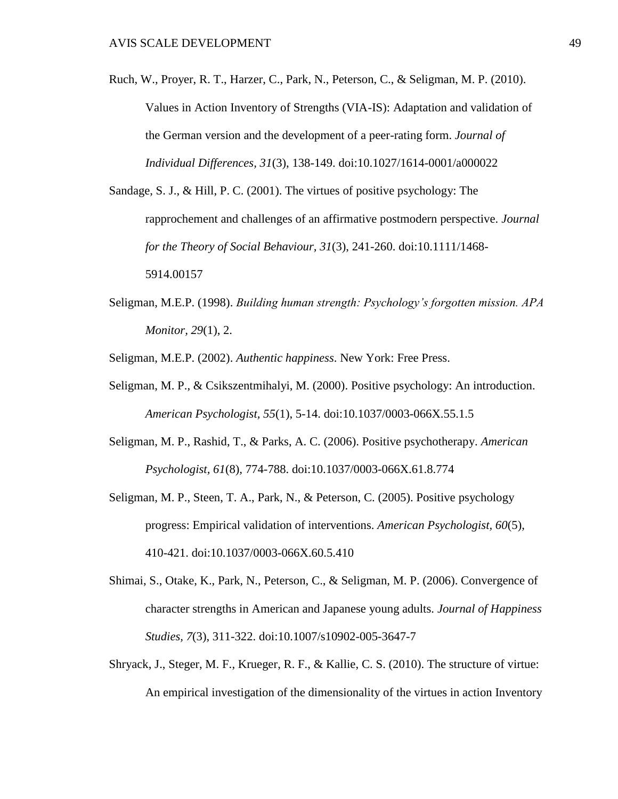Ruch, W., Proyer, R. T., Harzer, C., Park, N., Peterson, C., & Seligman, M. P. (2010). Values in Action Inventory of Strengths (VIA-IS): Adaptation and validation of the German version and the development of a peer-rating form. *Journal of Individual Differences, 31*(3), 138-149. doi:10.1027/1614-0001/a000022

Sandage, S. J., & Hill, P. C. (2001). The virtues of positive psychology: The rapprochement and challenges of an affirmative postmodern perspective. *Journal for the Theory of Social Behaviour, 31*(3), 241-260. doi:10.1111/1468- 5914.00157

Seligman, M.E.P. (1998). *Building human strength: Psychology's forgotten mission. APA Monitor, 29*(1), 2.

Seligman, M.E.P. (2002). *Authentic happiness*. New York: Free Press.

- Seligman, M. P., & Csikszentmihalyi, M. (2000). Positive psychology: An introduction. *American Psychologist, 55*(1), 5-14. doi:10.1037/0003-066X.55.1.5
- Seligman, M. P., Rashid, T., & Parks, A. C. (2006). Positive psychotherapy. *American Psychologist, 61*(8), 774-788. doi:10.1037/0003-066X.61.8.774
- Seligman, M. P., Steen, T. A., Park, N., & Peterson, C. (2005). Positive psychology progress: Empirical validation of interventions. *American Psychologist, 60*(5), 410-421. doi:10.1037/0003-066X.60.5.410
- Shimai, S., Otake, K., Park, N., Peterson, C., & Seligman, M. P. (2006). Convergence of character strengths in American and Japanese young adults. *Journal of Happiness Studies, 7*(3), 311-322. doi:10.1007/s10902-005-3647-7
- Shryack, J., Steger, M. F., Krueger, R. F., & Kallie, C. S. (2010). The structure of virtue: An empirical investigation of the dimensionality of the virtues in action Inventory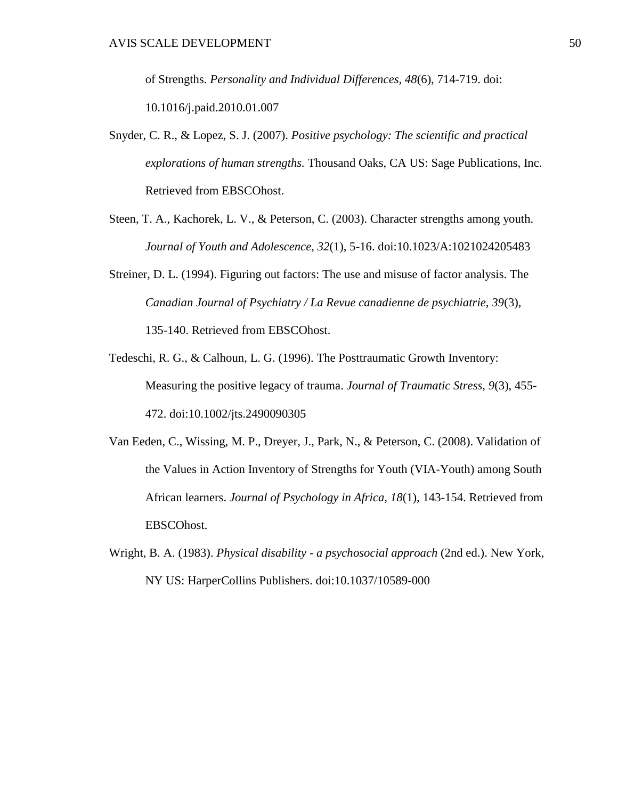of Strengths. *Personality and Individual Differences, 48*(6), 714-719. doi: 10.1016/j.paid.2010.01.007

- Snyder, C. R., & Lopez, S. J. (2007). *Positive psychology: The scientific and practical explorations of human strengths.* Thousand Oaks, CA US: Sage Publications, Inc. Retrieved from EBSCOhost.
- Steen, T. A., Kachorek, L. V., & Peterson, C. (2003). Character strengths among youth. *Journal of Youth and Adolescence, 32*(1), 5-16. doi:10.1023/A:1021024205483
- Streiner, D. L. (1994). Figuring out factors: The use and misuse of factor analysis. The *Canadian Journal of Psychiatry / La Revue canadienne de psychiatrie, 39*(3), 135-140. Retrieved from EBSCOhost.
- Tedeschi, R. G., & Calhoun, L. G. (1996). The Posttraumatic Growth Inventory: Measuring the positive legacy of trauma. *Journal of Traumatic Stress, 9*(3), 455- 472. doi:10.1002/jts.2490090305
- Van Eeden, C., Wissing, M. P., Dreyer, J., Park, N., & Peterson, C. (2008). Validation of the Values in Action Inventory of Strengths for Youth (VIA-Youth) among South African learners. *Journal of Psychology in Africa, 18*(1), 143-154. Retrieved from EBSCOhost.
- Wright, B. A. (1983). *Physical disability - a psychosocial approach* (2nd ed.). New York, NY US: HarperCollins Publishers. doi:10.1037/10589-000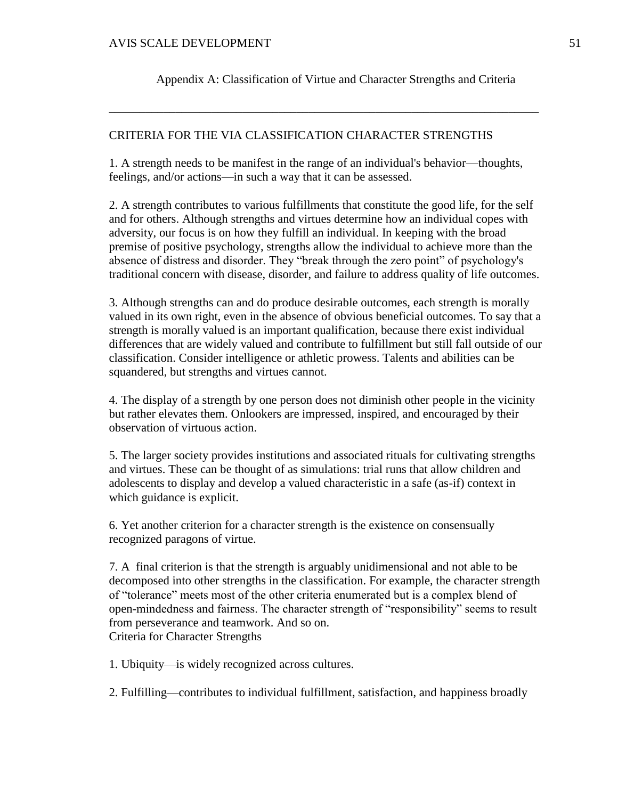Appendix A: Classification of Virtue and Character Strengths and Criteria

\_\_\_\_\_\_\_\_\_\_\_\_\_\_\_\_\_\_\_\_\_\_\_\_\_\_\_\_\_\_\_\_\_\_\_\_\_\_\_\_\_\_\_\_\_\_\_\_\_\_\_\_\_\_\_\_\_\_\_\_\_\_\_\_\_\_\_\_\_\_\_

# CRITERIA FOR THE VIA CLASSIFICATION CHARACTER STRENGTHS

1. A strength needs to be manifest in the range of an individual's behavior—thoughts, feelings, and/or actions—in such a way that it can be assessed.

2. A strength contributes to various fulfillments that constitute the good life, for the self and for others. Although strengths and virtues determine how an individual copes with adversity, our focus is on how they fulfill an individual. In keeping with the broad premise of positive psychology, strengths allow the individual to achieve more than the absence of distress and disorder. They "break through the zero point" of psychology's traditional concern with disease, disorder, and failure to address quality of life outcomes.

3. Although strengths can and do produce desirable outcomes, each strength is morally valued in its own right, even in the absence of obvious beneficial outcomes. To say that a strength is morally valued is an important qualification, because there exist individual differences that are widely valued and contribute to fulfillment but still fall outside of our classification. Consider intelligence or athletic prowess. Talents and abilities can be squandered, but strengths and virtues cannot.

4. The display of a strength by one person does not diminish other people in the vicinity but rather elevates them. Onlookers are impressed, inspired, and encouraged by their observation of virtuous action.

5. The larger society provides institutions and associated rituals for cultivating strengths and virtues. These can be thought of as simulations: trial runs that allow children and adolescents to display and develop a valued characteristic in a safe (as-if) context in which guidance is explicit.

6. Yet another criterion for a character strength is the existence on consensually recognized paragons of virtue.

7. A final criterion is that the strength is arguably unidimensional and not able to be decomposed into other strengths in the classification. For example, the character strength of "tolerance" meets most of the other criteria enumerated but is a complex blend of open-mindedness and fairness. The character strength of "responsibility" seems to result from perseverance and teamwork. And so on. Criteria for Character Strengths

1. Ubiquity—is widely recognized across cultures.

2. Fulfilling—contributes to individual fulfillment, satisfaction, and happiness broadly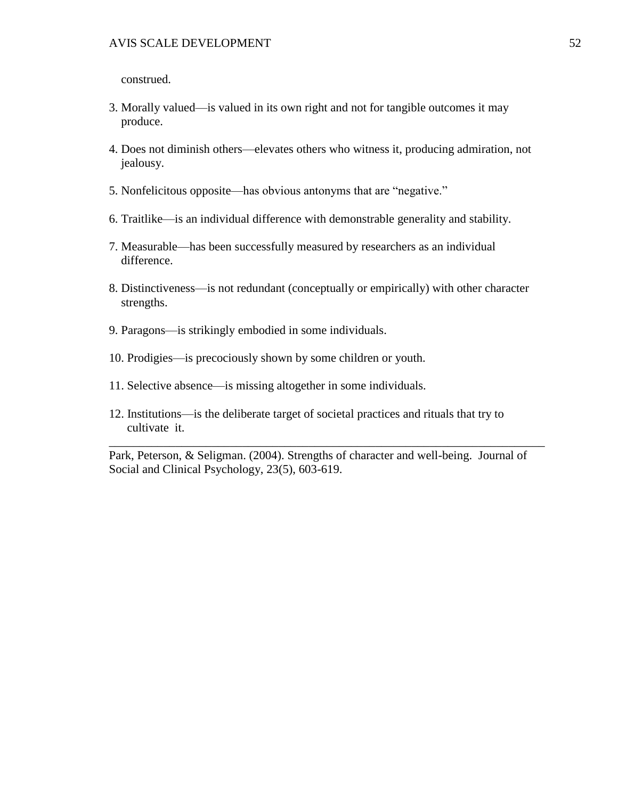construed.

- 3. Morally valued—is valued in its own right and not for tangible outcomes it may produce.
- 4. Does not diminish others—elevates others who witness it, producing admiration, not jealousy.
- 5. Nonfelicitous opposite—has obvious antonyms that are "negative."
- 6. Traitlike—is an individual difference with demonstrable generality and stability.
- 7. Measurable—has been successfully measured by researchers as an individual difference.
- 8. Distinctiveness—is not redundant (conceptually or empirically) with other character strengths.
- 9. Paragons—is strikingly embodied in some individuals.
- 10. Prodigies—is precociously shown by some children or youth.
- 11. Selective absence—is missing altogether in some individuals.
- 12. Institutions—is the deliberate target of societal practices and rituals that try to cultivate it.

Park, Peterson, & Seligman. (2004). Strengths of character and well-being. Journal of Social and Clinical Psychology, 23(5), 603-619.

\_\_\_\_\_\_\_\_\_\_\_\_\_\_\_\_\_\_\_\_\_\_\_\_\_\_\_\_\_\_\_\_\_\_\_\_\_\_\_\_\_\_\_\_\_\_\_\_\_\_\_\_\_\_\_\_\_\_\_\_\_\_\_\_\_\_\_\_\_\_\_\_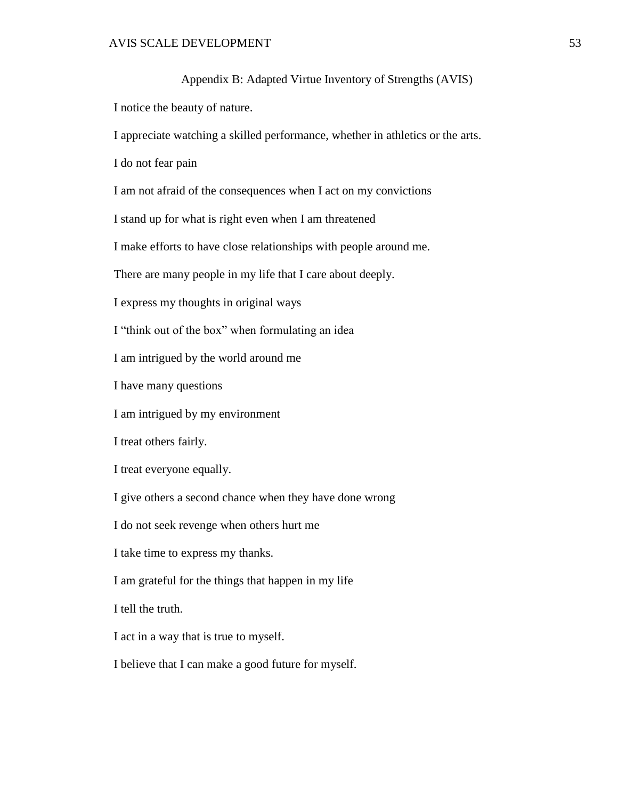Appendix B: Adapted Virtue Inventory of Strengths (AVIS) I notice the beauty of nature. I appreciate watching a skilled performance, whether in athletics or the arts. I do not fear pain I am not afraid of the consequences when I act on my convictions I stand up for what is right even when I am threatened I make efforts to have close relationships with people around me. There are many people in my life that I care about deeply. I express my thoughts in original ways I "think out of the box" when formulating an idea I am intrigued by the world around me I have many questions I am intrigued by my environment I treat others fairly. I treat everyone equally. I give others a second chance when they have done wrong I do not seek revenge when others hurt me I take time to express my thanks. I am grateful for the things that happen in my life I tell the truth. I act in a way that is true to myself. I believe that I can make a good future for myself.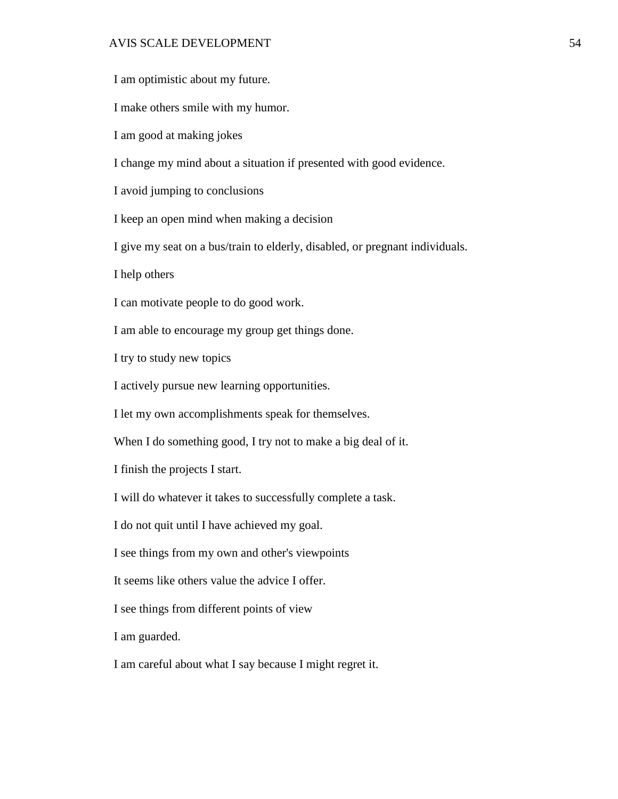# AVIS SCALE DEVELOPMENT 54

I am optimistic about my future.

I make others smile with my humor.

I am good at making jokes

I change my mind about a situation if presented with good evidence.

I avoid jumping to conclusions

I keep an open mind when making a decision

I give my seat on a bus/train to elderly, disabled, or pregnant individuals.

I help others

I can motivate people to do good work.

I am able to encourage my group get things done.

I try to study new topics

I actively pursue new learning opportunities.

I let my own accomplishments speak for themselves.

When I do something good, I try not to make a big deal of it.

I finish the projects I start.

I will do whatever it takes to successfully complete a task.

I do not quit until I have achieved my goal.

I see things from my own and other's viewpoints

It seems like others value the advice I offer.

I see things from different points of view

I am guarded.

I am careful about what I say because I might regret it.